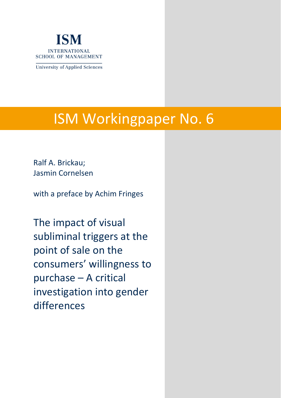

**University of Applied Sciences** 

# ISM Workingpaper No. 6

Ralf A. Brickau; Jasmin Cornelsen

with a preface by Achim Fringes

The impact of visual subliminal triggers at the point of sale on the consumers' willingness to purchase – A critical investigation into gender differences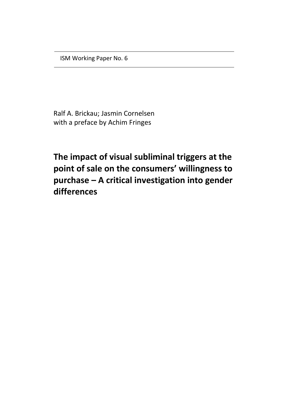ISM Working Paper No. 6

Ralf A. Brickau; Jasmin Cornelsen with a preface by Achim Fringes

**The impact of visual subliminal triggers at the point of sale on the consumers' willingness to purchase – A critical investigation into gender differences**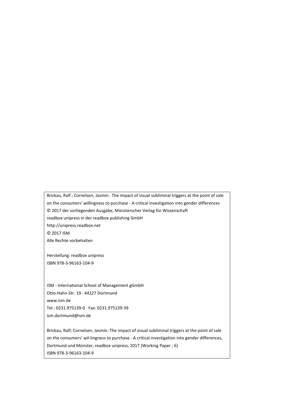Brickau, Ralf ; Cornelsen, Jasmin: The impact of visual subliminal triggers at the point of sale on the consumers' willingness to purchase - A critical investigation into gender differences © 2017 der vorliegenden Ausgabe, Münsterscher Verlag für Wissenschaft readbox unipress in der readbox publishing GmbH http://unipress.readbox.net © 2017 ISM Alle Rechte vorbehalten

Herstellung: readbox unipress ISBN 978-3-96163-104-9

ISM - International School of Management gGmbH Otto‐Hahn‐Str. 19 · 44227 Dortmund www.ism.de Tel.: 0231.975139-0 · Fax: 0231.975139-39 ism.dortmund@ism.de

Brickau, Ralf; Cornelsen, Jasmin: The impact of visual subliminal triggers at the point of sale on the consumers' wil-lingness to purchase - A critical investigation into gender differences, Dortmund und Münster, readbox unipress, 2017 (Working Paper ; 6) ISBN 978-3-96163-104-9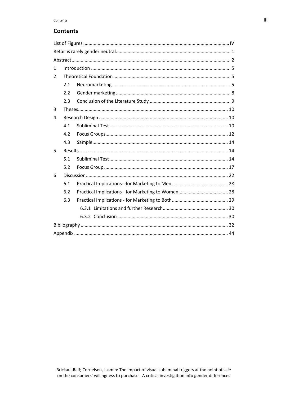# **Contents**

| $\mathbf{1}$   |     |  |  |  |  |  |
|----------------|-----|--|--|--|--|--|
| $\overline{2}$ |     |  |  |  |  |  |
|                | 2.1 |  |  |  |  |  |
|                | 2.2 |  |  |  |  |  |
|                | 2.3 |  |  |  |  |  |
| 3              |     |  |  |  |  |  |
| 4              |     |  |  |  |  |  |
|                | 4.1 |  |  |  |  |  |
|                | 4.2 |  |  |  |  |  |
|                | 4.3 |  |  |  |  |  |
| 5              |     |  |  |  |  |  |
|                | 5.1 |  |  |  |  |  |
|                | 5.2 |  |  |  |  |  |
| 6              |     |  |  |  |  |  |
|                | 6.1 |  |  |  |  |  |
|                | 6.2 |  |  |  |  |  |
|                | 6.3 |  |  |  |  |  |
|                |     |  |  |  |  |  |
|                |     |  |  |  |  |  |
|                |     |  |  |  |  |  |
|                |     |  |  |  |  |  |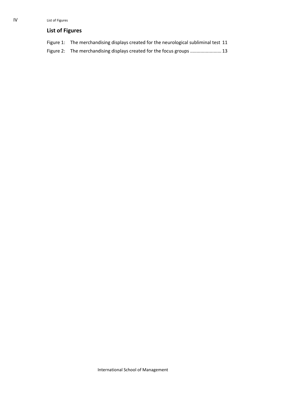# <span id="page-4-0"></span>**List of Figures**

| Figure 1: The merchandising displays created for the neurological subliminal test 11 |
|--------------------------------------------------------------------------------------|
|                                                                                      |

Figure 2: [The merchandising displays created for the focus groups](#page-17-0) ........................ 13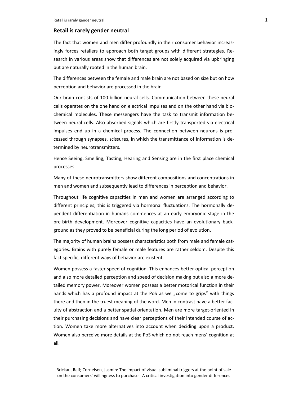## <span id="page-5-0"></span>**Retail is rarely gender neutral**

The fact that women and men differ profoundly in their consumer behavior increasingly forces retailers to approach both target groups with different strategies. Research in various areas show that differences are not solely acquired via upbringing but are naturally rooted in the human brain.

The differences between the female and male brain are not based on size but on how perception and behavior are processed in the brain.

Our brain consists of 100 billion neural cells. Communication between these neural cells operates on the one hand on electrical impulses and on the other hand via biochemical molecules. These messengers have the task to transmit information between neural cells. Also absorbed signals which are firstly transported via electrical impulses end up in a chemical process. The connection between neurons is processed through synapses, scissures, in which the transmittance of information is determined by neurotransmitters.

Hence Seeing, Smelling, Tasting, Hearing and Sensing are in the first place chemical processes.

Many of these neurotransmitters show different compositions and concentrations in men and women and subsequently lead to differences in perception and behavior.

Throughout life cognitive capacities in men and women are arranged according to different principles; this is triggered via hormonal fluctuations. The hormonally dependent differentiation in humans commences at an early embryonic stage in the pre-birth development. Moreover cognitive capacities have an evolutionary background as they proved to be beneficial during the long period of evolution.

The majority of human brains possess characteristics both from male and female categories. Brains with purely female or male features are rather seldom. Despite this fact specific, different ways of behavior are existent.

Women possess a faster speed of cognition. This enhances better optical perception and also more detailed perception and speed of decision making but also a more detailed memory power. Moreover women possess a better motorical function in their hands which has a profound impact at the PoS as we "come to grips" with things there and then in the truest meaning of the word. Men in contrast have a better faculty of abstraction and a better spatial orientation. Men are more target-oriented in their purchasing decisions and have clear perceptions of their intended course of action. Women take more alternatives into account when deciding upon a product. Women also perceive more details at the PoS which do not reach mens´ cognition at all.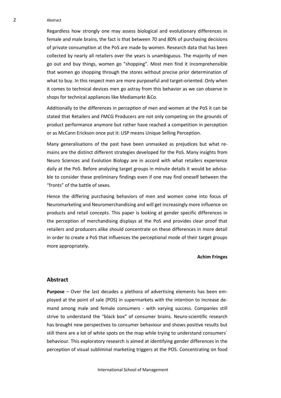#### 2 Abstract

Regardless how strongly one may assess biological and evolutionary differences in female and male brains, the fact is that between 70 and 80% of purchasing decisions of private consumption at the PoS are made by women. Research data that has been collected by nearly all retailers over the years is unambiguous. The majority of men go out and buy things, women go "shopping". Most men find it incomprehensible that women go shopping through the stores without precise prior determination of what to buy. In this respect men are more purposeful and target-oriented. Only when it comes to technical devices men go astray from this behavior as we can observe in shops for technical appliances like Mediamarkt &Co.

Additionally to the differences in perception of men and women at the PoS it can be stated that Retailers and FMCG Producers are not only competing on the grounds of product performance anymore but rather have reached a competition in perception or as McCann Erickson once put it: USP means Unique Selling Perception.

Many generalisations of the past have been unmasked as prejudices but what remains are the distinct different strategies developed for the PoS. Many insights from Neuro Sciences and Evolution Biology are in accord with what retailers experience daily at the PoS. Before analyzing target groups in minute details it would be advisable to consider these preliminary findings even if one may find oneself between the "fronts" of the battle of sexes.

Hence the differing purchasing behaviors of men and women come into focus of Neuromarketing and Neuromerchandising and will get increasingly more influence on products and retail concepts. This paper is looking at gender specific differences in the perception of merchandising displays at the PoS and provides clear proof that retailers and producers alike should concentrate on these differences in more detail in order to create a PoS that influences the perceptional mode of their target groups more appropriately.

#### **Achim Fringes**

## <span id="page-6-0"></span>**Abstract**

**Purpose** – Over the last decades a plethora of advertising elements has been employed at the point of sale (POS) in supermarkets with the intention to increase demand among male and female consumers - with varying success. Companies still strive to understand the "black box" of consumer brains. Neuro-scientific research has brought new perspectives to consumer behaviour and shows positive results but still there are a lot of white spots on the map while trying to understand consumers´ behaviour. This exploratory research is aimed at identifying gender differences in the perception of visual subliminal marketing triggers at the POS. Concentrating on food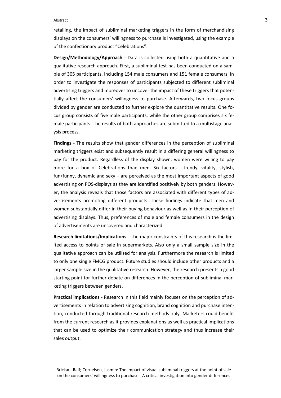#### Abstract 3

retailing, the impact of subliminal marketing triggers in the form of merchandising displays on the consumers' willingness to purchase is investigated, using the example of the confectionary product "Celebrations".

**Design/Methodology/Approach** - Data is collected using both a quantitative and a qualitative research approach. First, a subliminal test has been conducted on a sample of 305 participants, including 154 male consumers and 151 female consumers, in order to investigate the responses of participants subjected to different subliminal advertising triggers and moreover to uncover the impact of these triggers that potentially affect the consumers' willingness to purchase. Afterwards, two focus groups divided by gender are conducted to further explore the quantitative results. One focus group consists of five male participants, while the other group comprises six female participants. The results of both approaches are submitted to a multistage analysis process.

**Findings** - The results show that gender differences in the perception of subliminal marketing triggers exist and subsequently result in a differing general willingness to pay for the product. Regardless of the display shown, women were willing to pay more for a box of Celebrations than men. Six factors - trendy, vitality, stylish, fun/funny, dynamic and sexy – are perceived as the most important aspects of good advertising on POS-displays as they are identified positively by both genders. However, the analysis reveals that those factors are associated with different types of advertisements promoting different products. These findings indicate that men and women substantially differ in their buying behaviour as well as in their perception of advertising displays. Thus, preferences of male and female consumers in the design of advertisements are uncovered and characterized.

**Research limitations/Implications** - The major constraints of this research is the limited access to points of sale in supermarkets. Also only a small sample size in the qualitative approach can be utilised for analysis. Furthermore the research is limited to only one single FMCG product. Future studies should include other products and a larger sample size in the qualitative research. However, the research presents a good starting point for further debate on differences in the perception of subliminal marketing triggers between genders.

**Practical implications** - Research in this field mainly focuses on the perception of advertisements in relation to advertising cognition, brand cognition and purchase intention, conducted through traditional research methods only. Marketers could benefit from the current research as it provides explanations as well as practical implications that can be used to optimize their communication strategy and thus increase their sales output.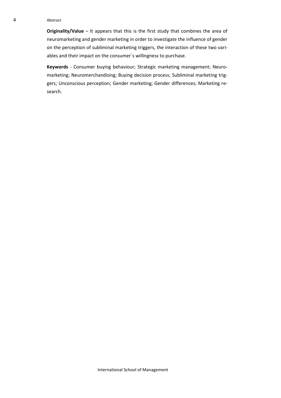#### 4 Abstract

**Originality/Value** – It appears that this is the first study that combines the area of neuromarketing and gender marketing in order to investigate the influence of gender on the perception of subliminal marketing triggers, the interaction of these two variables and their impact on the consumer´s willingness to purchase.

**Keywords** - Consumer buying behaviour; Strategic marketing management; Neuromarketing; Neuromerchandising; Buying decision process; Subliminal marketing triggers; Unconscious perception; Gender marketing; Gender differences; Marketing research.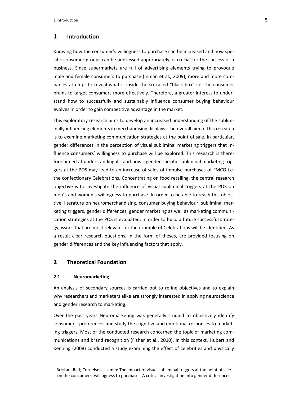# <span id="page-9-0"></span>**1 Introduction**

Knowing how the consumer's willingness to purchase can be increased and how specific consumer groups can be addressed appropriately, is crucial for the success of a business. Since supermarkets are full of advertising elements trying to provoque male and female consumers to purchase (Inman et al., 2009), more and more companies attempt to reveal what is inside the so called "black box" i.e. the consumer brains to target consumers more effectively. Therefore, a greater interest to understand how to successfully and sustainably influence consumer buying behaviour evolves in order to gain competitive advantage in the market.

This exploratory research aims to develop an increased understanding of the subliminally influencing elements in merchandising displays. The overall aim of this research is to examine marketing communication strategies at the point of sale. In particular, gender differences in the perception of visual subliminal marketing triggers that influence consumers' willingness to purchase will be explored. This research is therefore aimed at understanding if - and how - gender-specific subliminal marketing triggers at the POS may lead to an increase of sales of impulse purchases of FMCG i.e. the confectionary Celebrations. Concentrating on food retailing, the central research objective is to investigate the influence of visual subliminal triggers at the POS on men´s and women's willingness to purchase. In order to be able to reach this objective, literature on neuromerchandising, consumer buying behaviour, subliminal marketing triggers, gender differences, gender marketing as well as marketing communication strategies at the POS is evaluated. In order to build a future successful strategy, issues that are most relevant for the example of Celebrations will be identified. As a result clear research questions, in the form of theses, are provided focusing on gender differences and the key influencing factors that apply.

# <span id="page-9-1"></span>**2 Theoretical Foundation**

#### <span id="page-9-2"></span>**2.1 Neuromarketing**

An analysis of secondary sources is carried out to refine objectives and to explain why researchers and marketers alike are strongly interested in applying neuroscience and gender research to marketing.

Over the past years Neuromarketing was generally studied to objectively identify consumers' preferences and study the cognitive and emotional responses to marketing triggers. Most of the conducted research concerned the topic of marketing communications and brand recognition (Fisher et al., 2010). In this context, Hubert and Kenning (2008) conducted a study examining the effect of celebrities and physically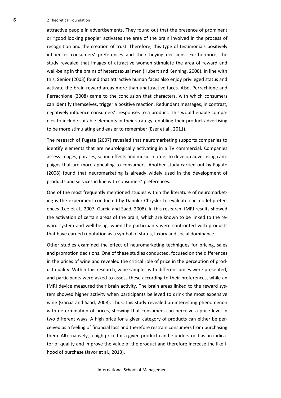6 2 Theoretical Foundation

attractive people in advertisements. They found out that the presence of prominent or "good looking people" activates the area of the brain involved in the process of recognition and the creation of trust. Therefore, this type of testimonials positively influences consumers' preferences and their buying decisions. Furthermore, the study revealed that images of attractive women stimulate the area of reward and well-being in the brains of heterosexual men (Hubert and Kenning, 2008). In line with this, Senior (2003) found that attractive human faces also enjoy privileged status and activate the brain reward areas more than unattractive faces. Also, Perrachione and Perrachione (2008) came to the conclusion that characters, with which consumers can identify themselves, trigger a positive reaction. Redundant messages, in contrast, negatively influence consumers' responses to a product. This would enable companies to include suitable elements in their strategy, enabling their product advertising to be more stimulating and easier to remember (Eser et al., 2011).

The research of Fugate (2007) revealed that neuromarketing supports companies to identify elements that are neurologically activating in a TV commercial. Companies assess images, phrases, sound effects and music in order to develop advertising campaigns that are more appealing to consumers. Another study carried out by Fugate (2008) found that neuromarketing is already widely used in the development of products and services in line with consumers' preferences.

One of the most frequently mentioned studies within the literature of neuromarketing is the experiment conducted by Daimler-Chrysler to evaluate car model preferences (Lee et al., 2007; Garcia and Saad, 2008). In this research, fMRI results showed the activation of certain areas of the brain, which are known to be linked to the reward system and well-being, when the participants were confronted with products that have earned reputation as a symbol of status, luxury and social dominance.

Other studies examined the effect of neuromarketing techniques for pricing, sales and promotion decisions. One of these studies conducted, focused on the differences in the prices of wine and revealed the critical role of price in the perception of product quality. Within this research, wine samples with different prices were presented, and participants were asked to assess these according to their preferences, while an fMRI device measured their brain activity. The brain areas linked to the reward system showed higher activity when participants believed to drink the most expensive wine (Garcia and Saad, 2008). Thus, this study revealed an interesting phenomenon with determination of prices, showing that consumers can perceive a price level in two different ways. A high price for a given category of products can either be perceived as a feeling of financial loss and therefore restrain consumers from purchasing them. Alternatively, a high price for a given product can be understood as an indicator of quality and improve the value of the product and therefore increase the likelihood of purchase (Javor et al., 2013).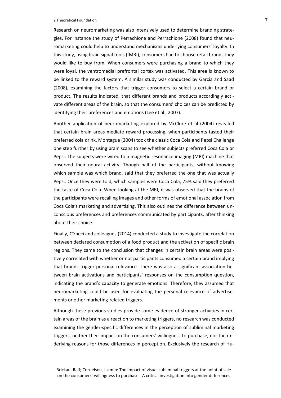#### 2 Theoretical Foundation 7

Research on neuromarketing was also intensively used to determine branding strategies. For instance the study of Perrachione and Perrachione (2008) found that neuromarketing could help to understand mechanisms underlying consumers' loyalty. In this study, using brain signal tools (fMRI), consumers had to choose retail brands they would like to buy from. When consumers were purchasing a brand to which they were loyal, the ventromedial prefrontal cortex was activated. This area is known to be linked to the reward system. A similar study was conducted by Garcia and Saad (2008), examining the factors that trigger consumers to select a certain brand or product. The results indicated, that different brands and products accordingly activate different areas of the brain, so that the consumers' choices can be predicted by identifying their preferences and emotions (Lee et al., 2007).

Another application of neuromarketing explored by McClure et al (2004) revealed that certain brain areas mediate reward processing, when participants tasted their preferred cola drink. Montague (2004) took the classic Coca Cola and Pepsi Challenge one step further by using brain scans to see whether subjects preferred Coca Cola or Pepsi. The subjects were wired to a magnetic resonance imaging (MRI) machine that observed their neural activity. Though half of the participants, without knowing which sample was which brand, said that they preferred the one that was actually Pepsi. Once they were told, which samples were Coca Cola, 75% said they preferred the taste of Coca Cola. When looking at the MRI, it was observed that the brains of the participants were recalling images and other forms of emotional association from Coca Cola's marketing and advertising. This also outlines the difference between unconscious preferences and preferences communicated by participants, after thinking about their choice.

Finally, Cîrneci and colleagues (2014) conducted a study to investigate the correlation between declared consumption of a food product and the activation of specific brain regions. They came to the conclusion that changes in certain brain areas were positively correlated with whether or not participants consumed a certain brand implying that brands trigger personal relevance. There was also a significant association between brain activations and participants' responses on the consumption question, indicating the brand's capacity to generate emotions. Therefore, they assumed that neuromarketing could be used for evaluating the personal relevance of advertisements or other marketing-related triggers.

Although these previous studies provide some evidence of stronger activities in certain areas of the brain as a reaction to marketing triggers, no research was conducted examining the gender-specific differences in the perception of subliminal marketing triggers, neither their impact on the consumers' willingness to purchase, nor the underlying reasons for those differences in perception. Exclusively the research of Hu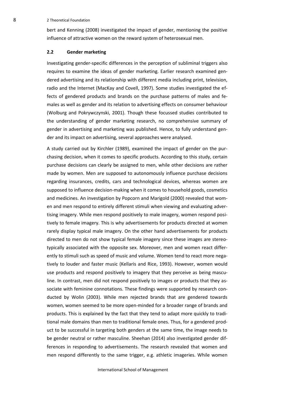8 2 Theoretical Foundation

bert and Kenning (2008) investigated the impact of gender, mentioning the positive influence of attractive women on the reward system of heterosexual men.

# <span id="page-12-0"></span>**2.2 Gender marketing**

Investigating gender-specific differences in the perception of subliminal triggers also requires to examine the ideas of gender marketing. Earlier research examined gendered advertising and its relationship with different media including print, television, radio and the Internet (MacKay and Covell, 1997). Some studies investigated the effects of gendered products and brands on the purchase patterns of males and females as well as gender and its relation to advertising effects on consumer behaviour (Wolburg and Pokrywczynski, 2001). Though these focussed studies contributed to the understanding of gender marketing research, no comprehensive summary of gender in advertising and marketing was published. Hence, to fully understand gender and its impact on advertising, several approaches were analysed.

A study carried out by Kirchler (1989), examined the impact of gender on the purchasing decision, when it comes to specific products. According to this study, certain purchase decisions can clearly be assigned to men, while other decisions are rather made by women. Men are supposed to autonomously influence purchase decisions regarding insurances, credits, cars and technological devices, whereas women are supposed to influence decision-making when it comes to household goods, cosmetics and medicines. An investigation by Popcorn and Marigold (2000) revealed that women and men respond to entirely different stimuli when viewing and evaluating advertising imagery. While men respond positively to male imagery, women respond positively to female imagery. This is why advertisements for products directed at women rarely display typical male imagery. On the other hand advertisements for products directed to men do not show typical female imagery since these images are stereotypically associated with the opposite sex. Moreover, men and women react differently to stimuli such as speed of music and volume. Women tend to react more negatively to louder and faster music (Kellaris and Rice, 1993). However, women would use products and respond positively to imagery that they perceive as being masculine. In contrast, men did not respond positively to images or products that they associate with feminine connotations. These findings were supported by research conducted by Wolin (2003). While men rejected brands that are gendered towards women, women seemed to be more open-minded for a broader range of brands and products. This is explained by the fact that they tend to adapt more quickly to traditional male domains than men to traditional female ones. Thus, for a gendered product to be successful in targeting both genders at the same time, the image needs to be gender neutral or rather masculine. Sheehan (2014) also investigated gender differences in responding to advertisements. The research revealed that women and men respond differently to the same trigger, e.g. athletic imageries. While women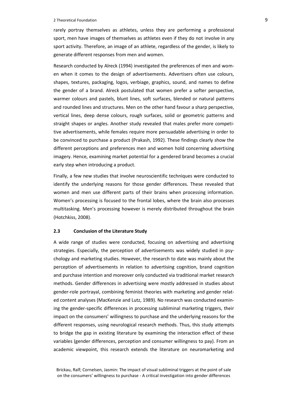#### 2 Theoretical Foundation 9

rarely portray themselves as athletes, unless they are performing a professional sport, men have images of themselves as athletes even if they do not involve in any sport activity. Therefore, an image of an athlete, regardless of the gender, is likely to generate different responses from men and women.

Research conducted by Alreck (1994) investigated the preferences of men and women when it comes to the design of advertisements. Advertisers often use colours, shapes, textures, packaging, logos, verbiage, graphics, sound, and names to define the gender of a brand. Alreck postulated that women prefer a softer perspective, warmer colours and pastels, blunt lines, soft surfaces, blended or natural patterns and rounded lines and structures. Men on the other hand favour a sharp perspective, vertical lines, deep dense colours, rough surfaces, solid or geometric patterns and straight shapes or angles. Another study revealed that males prefer more competitive advertisements, while females require more persuadable advertising in order to be convinced to purchase a product (Prakash, 1992). These findings clearly show the different perceptions and preferences men and women hold concerning advertising imagery. Hence, examining market potential for a gendered brand becomes a crucial early step when introducing a product.

Finally, a few new studies that involve neuroscientific techniques were conducted to identify the underlying reasons for those gender differences. These revealed that women and men use different parts of their brains when processing information. Women's processing is focused to the frontal lobes, where the brain also processes multitasking. Men's processing however is merely distributed throughout the brain (Hotchkiss, 2008).

# <span id="page-13-0"></span>**2.3 Conclusion of the Literature Study**

A wide range of studies were conducted, focusing on advertising and advertising strategies. Especially, the perception of advertisements was widely studied in psychology and marketing studies. However, the research to date was mainly about the perception of advertisements in relation to advertising cognition, brand cognition and purchase intention and moreover only conducted via traditional market research methods. Gender differences in advertising were mostly addressed in studies about gender-role portrayal, combining feminist theories with marketing and gender related content analyses (MacKenzie and Lutz, 1989). No research was conducted examining the gender-specific differences in processing subliminal marketing triggers, their impact on the consumers' willingness to purchase and the underlying reasons for the different responses, using neurological research methods. Thus, this study attempts to bridge the gap in existing literature by examining the interaction effect of these variables (gender differences, perception and consumer willingness to pay). From an academic viewpoint, this research extends the literature on neuromarketing and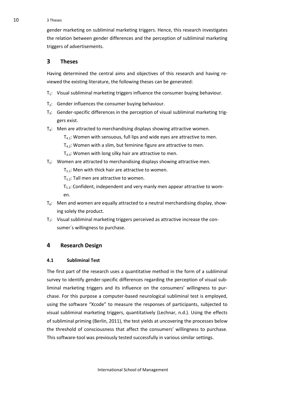10 3 Theses

gender marketing on subliminal marketing triggers. Hence, this research investigates the relation between gender differences and the perception of subliminal marketing triggers of advertisements.

# <span id="page-14-0"></span>**3 Theses**

Having determined the central aims and objectives of this research and having reviewed the existing literature, the following theses can be generated:

- $T_1$ : Visual subliminal marketing triggers influence the consumer buying behaviour.
- T<sub>2</sub>: Gender influences the consumer buying behaviour.
- $T_3$ : Gender-specific differences in the perception of visual subliminal marketing triggers exist.
- $T<sub>4</sub>$ : Men are attracted to merchandising displays showing attractive women.
	- $T_{4,1}$ : Women with sensuous, full lips and wide eyes are attractive to men.
	- $T_{4,2}$ : Women with a slim, but feminine figure are attractive to men.
	- $T_{4,3}$ : Women with long silky hair are attractive to men.
- $T_5$ : Women are attracted to merchandising displays showing attractive men.

 $T_{5.1}$ : Men with thick hair are attractive to women.

 $T_{5.2}$ : Tall men are attractive to women.

 $T_{5,3}$ : Confident, independent and very manly men appear attractive to women.

- $T_6$ : Men and women are equally attracted to a neutral merchandising display, showing solely the product.
- $T_7$ : Visual subliminal marketing triggers perceived as attractive increase the consumer´s willingness to purchase.

# <span id="page-14-1"></span>**4 Research Design**

# <span id="page-14-2"></span>**4.1 Subliminal Test**

The first part of the research uses a quantitative method in the form of a subliminal survey to identify gender-specific differences regarding the perception of visual subliminal marketing triggers and its influence on the consumers' willingness to purchase. For this purpose a computer-based neurological subliminal test is employed, using the software "Xcode" to measure the responses of participants, subjected to visual subliminal marketing triggers, quantitatively (Lechnar, n.d.). Using the effects of subliminal priming (Berlin, 2011), the test yields at uncovering the processes below the threshold of consciousness that affect the consumers' willingness to purchase. This software-tool was previously tested successfully in various similar settings.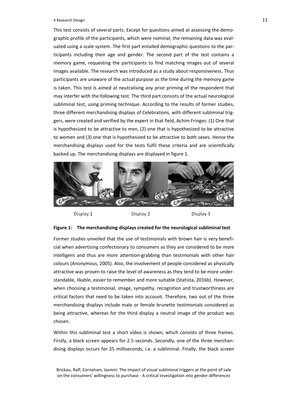#### A Research Design 2012 12:30 and 2012 12:30 and 2012 12:30 and 2012 12:30 and 2013 12:30 and 2013 12:30 and 201

This test consists of several parts. Except for questions aimed at assessing the demographic profile of the participants, which were nominal, the remaining data was evaluated using a scale system. The first part entailed demographic questions to the participants including their age and gender. The second part of the test contains a memory game, requesting the participants to find matching images out of several images available. The research was introduced as a study about responsiveness. Thus participants are unaware of the actual purpose as the time during the memory game is taken. This test is aimed at neutralising any prior priming of the respondent that may interfer with the following test. The third part consists of the actual neurological subliminal test, using priming technique. According to the results of former studies, three different merchandising displays of Celebrations, with different subliminal triggers, were created and verified by the expert in that field, Achim Fringes: (1) One that is hypothesized to be attractive to men, (2) one that is hypothesized to be attractive to women and (3) one that is hypothesized to be attractive to both sexes. Hence the merchandising displays used for the tests fulfil these criteria and are scientifically backed up. The merchandising displays are displayed in figure 1.



Display 1

Display 2

Display 3

#### <span id="page-15-0"></span>**Figure 1: The merchandising displays created for the neurological subliminal test**

Former studies unveiled that the use of testimonials with brown hair is very beneficial when advertising confectionary to consumers as they are considered to be more intelligent and thus are more attention-grabbing than testimonials with other hair colours (Anonymous, 2005). Also, the involvement of people considered as physically attractive was proven to raise the level of awareness as they tend to be more understandable, likable, easier to remember and more suitable (Statista, 2016b). However, when choosing a testimonial, image, sympathy, recognition and trustworthiness are critical factors that need to be taken into account. Therefore, two out of the three merchandising displays include male or female brunette testimonials considered as being attractive, whereas for the third display a neutral image of the product was chosen.

Within this subliminal test a short video is shown, which consists of three frames. Firstly, a black screen appears for 2.5 seconds. Secondly, one of the three merchandising displays occurs for 25 milliseconds, i.e. a subliminal. Finally, the black screen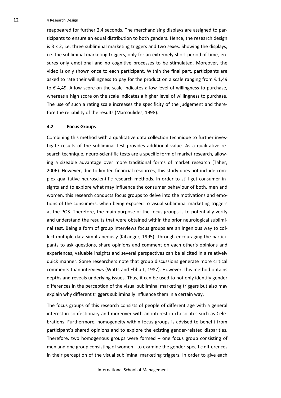12 4 Research Design

reappeared for further 2.4 seconds. The merchandising displays are assigned to participants to ensure an equal distribution to both genders. Hence, the research design is 3 x 2, i.e. three subliminal marketing triggers and two sexes. Showing the displays, i.e. the subliminal marketing triggers, only for an extremely short period of time, ensures only emotional and no cognitive processes to be stimulated. Moreover, the video is only shown once to each participant. Within the final part, participants are asked to rate their willingness to pay for the product on a scale ranging from  $\epsilon$  1,49 to € 4,49. A low score on the scale indicates a low level of willingness to purchase, whereas a high score on the scale indicates a higher level of willingness to purchase. The use of such a rating scale increases the specificity of the judgement and therefore the reliability of the results (Marcoulides, 1998).

# <span id="page-16-0"></span>**4.2 Focus Groups**

Combining this method with a qualitative data collection technique to further investigate results of the subliminal test provides additional value. As a qualitative research technique, neuro-scientific tests are a specific form of market research, allowing a sizeable advantage over more traditional forms of market research (Taher, 2006). However, due to limited financial resources, this study does not include complex qualitative neuroscientific research methods. In order to still get consumer insights and to explore what may influence the consumer behaviour of both, men and women, this research conducts focus groups to delve into the motivations and emotions of the consumers, when being exposed to visual subliminal marketing triggers at the POS. Therefore, the main purpose of the focus groups is to potentially verify and understand the results that were obtained within the prior neurological subliminal test. Being a form of group interviews focus groups are an ingenious way to collect multiple data simultaneously (Kitzinger, 1995). Through encouraging the participants to ask questions, share opinions and comment on each other's opinions and experiences, valuable insights and several perspectives can be elicited in a relatively quick manner. Some researchers note that group discussions generate more critical comments than interviews (Watts and Ebbutt, 1987). However, this method obtains depths and reveals underlying issues. Thus, it can be used to not only identify gender differences in the perception of the visual subliminal marketing triggers but also may explain why different triggers subliminally influence them in a certain way.

The focus groups of this research consists of people of different age with a general interest in confectionary and moreover with an interest in chocolates such as Celebrations. Furthermore, homogeneity within focus groups is advised to benefit from participant's shared opinions and to explore the existing gender-related disparities. Therefore, two homogenous groups were formed – one focus group consisting of men and one group consisting of women - to examine the gender-specific differences in their perception of the visual subliminal marketing triggers. In order to give each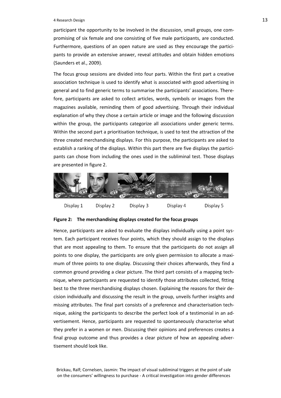#### 4 Research Design 13

participant the opportunity to be involved in the discussion, small groups, one compromising of six female and one consisting of five male participants, are conducted. Furthermore, questions of an open nature are used as they encourage the participants to provide an extensive answer, reveal attitudes and obtain hidden emotions (Saunders et al., 2009).

The focus group sessions are divided into four parts. Within the first part a creative association technique is used to identify what is associated with good advertising in general and to find generic terms to summarise the participants' associations. Therefore, participants are asked to collect articles, words, symbols or images from the magazines available, reminding them of good advertising. Through their individual explanation of why they chose a certain article or image and the following discussion within the group, the participants categorize all associations under generic terms. Within the second part a prioritisation technique, is used to test the attraction of the three created merchandising displays. For this purpose, the participants are asked to establish a ranking of the displays. Within this part there are five displays the participants can chose from including the ones used in the subliminal test. Those displays are presented in figure 2.



# <span id="page-17-0"></span>**Figure 2: The merchandising displays created for the focus groups**

Hence, participants are asked to evaluate the displays individually using a point system. Each participant receives four points, which they should assign to the displays that are most appealing to them. To ensure that the participants do not assign all points to one display, the participants are only given permission to allocate a maximum of three points to one display. Discussing their choices afterwards, they find a common ground providing a clear picture. The third part consists of a mapping technique, where participants are requested to identify those attributes collected, fitting best to the three merchandising displays chosen. Explaining the reasons for their decision individually and discussing the result in the group, unveils further insights and missing attributes. The final part consists of a preference and characterisation technique, asking the participants to describe the perfect look of a testimonial in an advertisement. Hence, participants are requested to spontaneously characterise what they prefer in a women or men. Discussing their opinions and preferences creates a final group outcome and thus provides a clear picture of how an appealing advertisement should look like.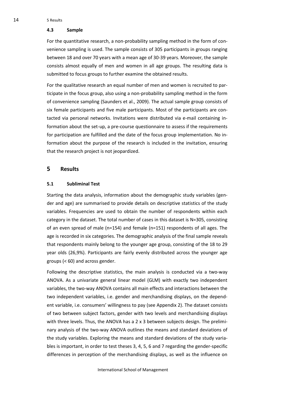#### <span id="page-18-0"></span>**4.3 Sample**

For the quantitative research, a non-probability sampling method in the form of convenience sampling is used. The sample consists of 305 participants in groups ranging between 18 and over 70 years with a mean age of 30-39 years. Moreover, the sample consists almost equally of men and women in all age groups. The resulting data is submitted to focus groups to further examine the obtained results.

For the qualitative research an equal number of men and women is recruited to participate in the focus group, also using a non-probability sampling method in the form of convenience sampling (Saunders et al., 2009). The actual sample group consists of six female participants and five male participants. Most of the participants are contacted via personal networks. Invitations were distributed via e-mail containing information about the set-up, a pre-course questionnaire to assess if the requirements for participation are fulfilled and the date of the focus group implementation. No information about the purpose of the research is included in the invitation, ensuring that the research project is not jeopardized.

# <span id="page-18-1"></span>**5 Results**

# <span id="page-18-2"></span>**5.1 Subliminal Test**

Starting the data analysis, information about the demographic study variables (gender and age) are summarised to provide details on descriptive statistics of the study variables. Frequencies are used to obtain the number of respondents within each category in the dataset. The total number of cases in this dataset is N=305, consisting of an even spread of male (n=154) and female (n=151) respondents of all ages. The age is recorded in six categories. The demographic analysis of the final sample reveals that respondents mainly belong to the younger age group, consisting of the 18 to 29 year olds (26,9%). Participants are fairly evenly distributed across the younger age groups (< 60) and across gender.

Following the descriptive statistics, the main analysis is conducted via a two-way ANOVA. As a univariate general linear model (GLM) with exactly two independent variables, the two-way ANOVA contains all main effects and interactions between the two independent variables, i.e. gender and merchandising displays, on the dependent variable, i.e. consumers' willingness to pay (see Appendix 2). The dataset consists of two between subject factors, gender with two levels and merchandising displays with three levels. Thus, the ANOVA has a 2 x 3 between subjects design. The preliminary analysis of the two-way ANOVA outlines the means and standard deviations of the study variables. Exploring the means and standard deviations of the study variables is important, in order to test theses 3, 4, 5, 6 and 7 regarding the gender-specific differences in perception of the merchandising displays, as well as the influence on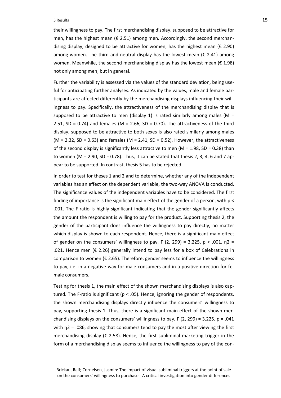#### 5 Results 15

their willingness to pay. The first merchandising display, supposed to be attractive for men, has the highest mean ( $\epsilon$  2.51) among men. Accordingly, the second merchandising display, designed to be attractive for women, has the highest mean ( $\epsilon$  2.90) among women. The third and neutral display has the lowest mean ( $\epsilon$  2.41) among women. Meanwhile, the second merchandising display has the lowest mean ( $\epsilon$  1.98) not only among men, but in general.

Further the variability is assessed via the values of the standard deviation, being useful for anticipating further analyses. As indicated by the values, male and female participants are affected differently by the merchandising displays influencing their willingness to pay. Specifically, the attractiveness of the merchandising display that is supposed to be attractive to men (display 1) is rated similarly among males ( $M =$ 2.51, SD = 0.74) and females (M = 2.66, SD = 0.70). The attractiveness of the third display, supposed to be attractive to both sexes is also rated similarly among males  $(M = 2.32, SD = 0.63)$  and females  $(M = 2.41, SD = 0.52)$ . However, the attractiveness of the second display is significantly less attractive to men ( $M = 1.98$ , SD = 0.38) than to women (M = 2.90, SD = 0.78). Thus, it can be stated that thesis 2, 3, 4, 6 and 7 appear to be supported. In contrast, thesis 5 has to be rejected.

In order to test for theses 1 and 2 and to determine, whether any of the independent variables has an effect on the dependent variable, the two-way ANOVA is conducted. The significance values of the independent variables have to be considered. The first finding of importance is the significant main effect of the gender of a person, with p < .001. The F-ratio is highly significant indicating that the gender significantly affects the amount the respondent is willing to pay for the product. Supporting thesis 2, the gender of the participant does influence the willingness to pay directly, no matter which display is shown to each respondent. Hence, there is a significant main effect of gender on the consumers' willingness to pay, F (2, 299) = 3.225, p < .001,  $n^2$  = .021. Hence men ( $\epsilon$  2.26) generally intend to pay less for a box of Celebrations in comparison to women ( $\epsilon$  2.65). Therefore, gender seems to influence the willingness to pay, i.e. in a negative way for male consumers and in a positive direction for female consumers.

Testing for thesis 1, the main effect of the shown merchandising displays is also captured. The F-ratio is significant ( $p < .05$ ). Hence, ignoring the gender of respondents, the shown merchandising displays directly influence the consumers' willingness to pay, supporting thesis 1. Thus, there is a significant main effect of the shown merchandising displays on the consumers' willingness to pay,  $F(2, 299) = 3.225$ ,  $p = .041$ with  $\eta$ 2 = .086, showing that consumers tend to pay the most after viewing the first merchandising display ( $\epsilon$  2.58). Hence, the first subliminal marketing trigger in the form of a merchandising display seems to influence the willingness to pay of the con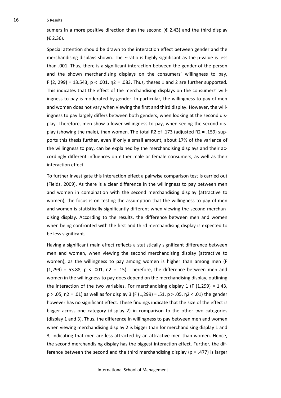16 5 Results

sumers in a more positive direction than the second ( $\epsilon$  2.43) and the third display (€ 2.36).

Special attention should be drawn to the interaction effect between gender and the merchandising displays shown. The F-ratio is highly significant as the p-value is less than .001. Thus, there is a significant interaction between the gender of the person and the shown merchandising displays on the consumers' willingness to pay,  $F(2, 299) = 13.543$ ,  $p < .001$ ,  $n = .083$ . Thus, theses 1 and 2 are further supported. This indicates that the effect of the merchandising displays on the consumers' willingness to pay is moderated by gender. In particular, the willingness to pay of men and women does not vary when viewing the first and third display. However, the willingness to pay largely differs between both genders, when looking at the second display. Therefore, men show a lower willingness to pay, when seeing the second display (showing the male), than women. The total R2 of .173 (adjusted R2 = .159) supports this thesis further, even if only a small amount, about 17% of the variance of the willingness to pay, can be explained by the merchandising displays and their accordingly different influences on either male or female consumers, as well as their interaction effect.

To further investigate this interaction effect a pairwise comparison test is carried out (Fields, 2009). As there is a clear difference in the willingness to pay between men and women in combination with the second merchandising display (attractive to women), the focus is on testing the assumption that the willingness to pay of men and women is statistically significantly different when viewing the second merchandising display. According to the results, the difference between men and women when being confronted with the first and third merchandising display is expected to be less significant.

Having a significant main effect reflects a statistically significant difference between men and women, when viewing the second merchandising display (attractive to women), as the willingness to pay among women is higher than among men (F  $(1,299)$  = 53.88, p < .001,  $n^2$  = .15). Therefore, the difference between men and women in the willingness to pay does depend on the merchandising display, outlining the interaction of the two variables. For merchandising display 1 (F  $(1,299) = 1.43$ , p > .05, η2 = .01) as well as for display 3 (F (1,299) = .51, p > .05, η2 < .01) the gender however has no significant effect. These findings indicate that the size of the effect is bigger across one category (display 2) in comparison to the other two categories (display 1 and 3). Thus, the difference in willingness to pay between men and women when viewing merchandising display 2 is bigger than for merchandising display 1 and 3, indicating that men are less attracted by an attractive men than women. Hence, the second merchandising display has the biggest interaction effect. Further, the difference between the second and the third merchandising display ( $p = .477$ ) is larger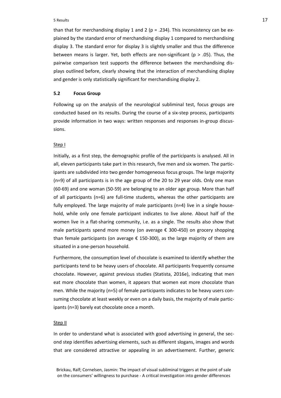#### 5 Results 17

than that for merchandising display 1 and 2 ( $p = .234$ ). This inconsistency can be explained by the standard error of merchandising display 1 compared to merchandising display 3. The standard error for display 3 is slightly smaller and thus the difference between means is larger. Yet, both effects are non-significant ( $p > .05$ ). Thus, the pairwise comparison test supports the difference between the merchandising displays outlined before, clearly showing that the interaction of merchandising display and gender is only statistically significant for merchandising display 2.

#### <span id="page-21-0"></span>**5.2 Focus Group**

Following up on the analysis of the neurological subliminal test, focus groups are conducted based on its results. During the course of a six-step process, participants provide information in two ways: written responses and responses in-group discussions.

#### Step I

Initially, as a first step, the demographic profile of the participants is analysed. All in all, eleven participants take part in this research, five men and six women. The participants are subdivided into two gender homogeneous focus groups. The large majority (n=9) of all participants is in the age group of the 20 to 29 year olds. Only one man (60-69) and one woman (50-59) are belonging to an older age group. More than half of all participants (n=6) are full-time students, whereas the other participants are fully employed. The large majority of male participants (n=4) live in a single household, while only one female participant indicates to live alone. About half of the women live in a flat-sharing community, i.e. as a single. The results also show that male participants spend more money (on average € 300-450) on grocery shopping than female participants (on average  $\epsilon$  150-300), as the large majority of them are situated in a one-person household.

Furthermore, the consumption level of chocolate is examined to identify whether the participants tend to be heavy users of chocolate. All participants frequently consume chocolate. However, against previous studies (Statista, 2016e), indicating that men eat more chocolate than women, it appears that women eat more chocolate than men. While the majority (n=5) of female participants indicates to be heavy users consuming chocolate at least weekly or even on a daily basis, the majority of male participants (n=3) barely eat chocolate once a month.

#### Step II

In order to understand what is associated with good advertising in general, the second step identifies advertising elements, such as different slogans, images and words that are considered attractive or appealing in an advertisement. Further, generic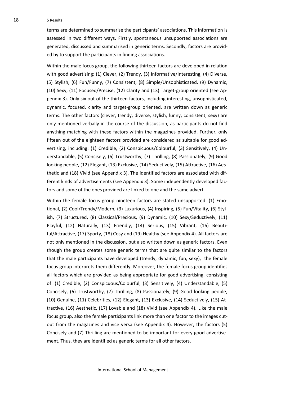18 5 Results

terms are determined to summarise the participants' associations. This information is assessed in two different ways. Firstly, spontaneous unsupported associations are generated, discussed and summarised in generic terms. Secondly, factors are provided by to support the participants in finding associations.

Within the male focus group, the following thirteen factors are developed in relation with good advertising: (1) Clever, (2) Trendy, (3) Informative/Interesting, (4) Diverse, (5) Stylish, (6) Fun/Funny, (7) Consistent, (8) Simple/Unsophisticated, (9) Dynamic, (10) Sexy, (11) Focused/Precise, (12) Clarity and (13) Target-group oriented (see Appendix 3). Only six out of the thirteen factors, including interesting, unsophisticated, dynamic, focused, clarity and target-group oriented, are written down as generic terms. The other factors (clever, trendy, diverse, stylish, funny, consistent, sexy) are only mentioned verbally in the course of the discussion, as participants do not find anything matching with these factors within the magazines provided. Further, only fifteen out of the eighteen factors provided are considered as suitable for good advertising, including: (1) Credible, (2) Conspicuous/Colourful, (3) Sensitively, (4) Understandable, (5) Concisely, (6) Trustworthy, (7) Thrilling, (8) Passionately, (9) Good looking people, (12) Elegant, (13) Exclusive, (14) Seductively, (15) Attractive, (16) Aesthetic and (18) Vivid (see Appendix 3). The identified factors are associated with different kinds of advertisements (see Appendix 3). Some independently developed factors and some of the ones provided are linked to one and the same advert.

Within the female focus group nineteen factors are stated unsupported: (1) Emotional, (2) Cool/Trendy/Modern, (3) Luxurious, (4) Inspiring, (5) Fun/Vitality, (6) Stylish, (7) Structured, (8) Classical/Precious, (9) Dynamic, (10) Sexy/Seductively, (11) Playful, (12) Naturally, (13) Friendly, (14) Serious, (15) Vibrant, (16) Beautiful/Attractive, (17) Sporty, (18) Cosy and (19) Healthy (see Appendix 4). All factors are not only mentioned in the discussion, but also written down as generic factors. Even though the group creates some generic terms that are quite similar to the factors that the male participants have developed (trendy, dynamic, fun, sexy), the female focus group interprets them differently. Moreover, the female focus group identifies all factors which are provided as being appropriate for good advertising, consisting of: (1) Credible, (2) Conspicuous/Colourful, (3) Sensitively, (4) Understandable, (5) Concisely, (6) Trustworthy, (7) Thrilling, (8) Passionately, (9) Good looking people, (10) Genuine, (11) Celebrities, (12) Elegant, (13) Exclusive, (14) Seductively, (15) Attractive, (16) Aesthetic, (17) Lovable and (18) Vivid (see Appendix 4). Like the male focus group, also the female participants link more than one factor to the images cutout from the magazines and vice versa (see Appendix 4). However, the factors (5) Concisely and (7) Thrilling are mentioned to be important for every good advertisement. Thus, they are identified as generic terms for all other factors.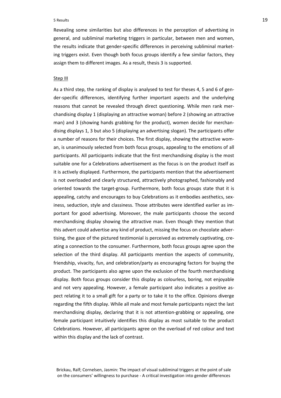#### 5 Results 19

Revealing some similarities but also differences in the perception of advertising in general, and subliminal marketing triggers in particular, between men and women, the results indicate that gender-specific differences in perceiving subliminal marketing triggers exist. Even though both focus groups identify a few similar factors, they assign them to different images. As a result, thesis 3 is supported.

#### Step III

As a third step, the ranking of display is analysed to test for theses 4, 5 and 6 of gender-specific differences, identifying further important aspects and the underlying reasons that cannot be revealed through direct questioning. While men rank merchandising display 1 (displaying an attractive woman) before 2 (showing an attractive man) and 3 (showing hands grabbing for the product), women decide for merchandising displays 1, 3 but also 5 (displaying an advertising slogan). The participants offer a number of reasons for their choices. The first display, showing the attractive woman, is unanimously selected from both focus groups, appealing to the emotions of all participants. All participants indicate that the first merchandising display is the most suitable one for a Celebrations advertisement as the focus is on the product itself as it is actively displayed. Furthermore, the participants mention that the advertisement is not overloaded and clearly structured, attractively photographed, fashionably and oriented towards the target-group. Furthermore, both focus groups state that it is appealing, catchy and encourages to buy Celebrations as it embodies aesthetics, sexiness, seduction, style and classiness. Those attributes were identified earlier as important for good advertising. Moreover, the male participants choose the second merchandising display showing the attractive man. Even though they mention that this advert could advertise any kind of product, missing the focus on chocolate advertising, the gaze of the pictured testimonial is perceived as extremely captivating, creating a connection to the consumer. Furthermore, both focus groups agree upon the selection of the third display. All participants mention the aspects of community, friendship, vivacity, fun, and celebration/party as encouraging factors for buying the product. The participants also agree upon the exclusion of the fourth merchandising display. Both focus groups consider this display as colourless, boring, not enjoyable and not very appealing. However, a female participant also indicates a positive aspect relating it to a small gift for a party or to take it to the office. Opinions diverge regarding the fifth display. While all male and most female participants reject the last merchandising display, declaring that it is not attention-grabbing or appealing, one female participant intuitively identifies this display as most suitable to the product Celebrations. However, all participants agree on the overload of red colour and text within this display and the lack of contrast.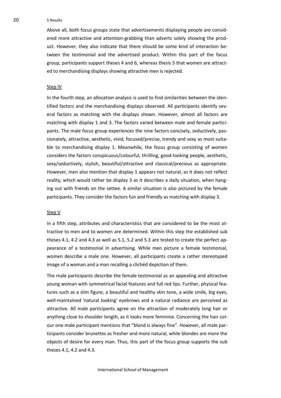20 5 Results

Above all, both focus groups state that advertisements displaying people are considered more attractive and attention-grabbing than adverts solely showing the product. However, they also indicate that there should be some kind of interaction between the testimonial and the advertised product. Within this part of the focus group, participants support theses 4 and 6, whereas thesis 5 that women are attracted to merchandising displays showing attractive men is rejected.

#### Step IV

In the fourth step, an allocation analysis is used to find similarities between the identified factors and the merchandising displays observed. All participants identify several factors as matching with the displays shown. However, almost all factors are matching with display 1 and 3. The factors varied between male and female participants. The male focus group experiences the nine factors concisely, seductively, passionately, attractive, aesthetic, vivid, focused/precise, trendy and sexy as most suitable to merchandising display 1. Meanwhile, the focus group consisting of women considers the factors conspicuous/colourful, thrilling, good-looking people, aesthetic, sexy/seductively, stylish, beautiful/attractive and classical/precious as appropriate. However, men also mention that display 1 appears not natural, as it does not reflect reality, which would rather be display 3 as it describes a daily situation, when hanging out with friends on the settee. A similar situation is also pictured by the female participants. They consider the factors fun and friendly as matching with display 3.

#### Step V

In a fifth step, attributes and characteristics that are considered to be the most attractive to men and to women are determined. Within this step the established sub theses 4.1, 4.2 and 4.3 as well as 5.1, 5.2 and 5.3 are tested to create the perfect appearance of a testimonial in advertising. While men picture a female testimonial, women describe a male one. However, all participants create a rather stereotyped image of a woman and a man recalling a clichéd depiction of them.

The male participants describe the female testimonial as an appealing and attractive young woman with symmetrical facial features and full red lips. Further, physical features such as a slim figure, a beautiful and healthy skin tone, a wide smile, big eyes, well-maintained 'natural looking' eyebrows and a natural radiance are perceived as attractive. All male participants agree on the attraction of moderately long hair or anything close to shoulder length, as it looks more feminine. Concerning the hair colour one male participant mentions that "blond is always fine". However, all male participants consider brunettes as fresher and more natural, while blondes are more the objects of desire for every man. Thus, this part of the focus group supports the sub theses 4.1, 4.2 and 4.3.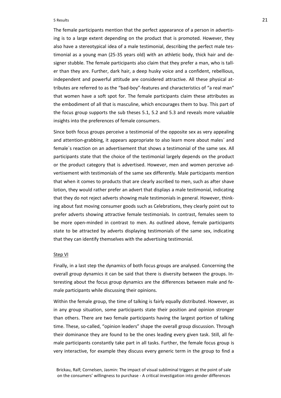#### 5 Results 21

The female participants mention that the perfect appearance of a person in advertising is to a large extent depending on the product that is promoted. However, they also have a stereotypical idea of a male testimonial, describing the perfect male testimonial as a young man (25-35 years old) with an athletic body, thick hair and designer stubble. The female participants also claim that they prefer a man, who is taller than they are. Further, dark hair, a deep husky voice and a confident, rebellious, independent and powerful attitude are considered attractive. All these physical attributes are referred to as the "bad-boy"-features and characteristics of "a real man" that women have a soft spot for. The female participants claim these attributes as the embodiment of all that is masculine, which encourages them to buy. This part of the focus group supports the sub theses 5.1, 5.2 and 5.3 and reveals more valuable insights into the preferences of female consumers.

Since both focus groups perceive a testimonial of the opposite sex as very appealing and attention-grabbing, it appears appropriate to also learn more about males´ and female´s reaction on an advertisement that shows a testimonial of the same sex. All participants state that the choice of the testimonial largely depends on the product or the product category that is advertised. However, men and women perceive advertisement with testimonials of the same sex differently. Male participants mention that when it comes to products that are clearly ascribed to men, such as after shave lotion, they would rather prefer an advert that displays a male testimonial, indicating that they do not reject adverts showing male testimonials in general. However, thinking about fast moving consumer goods such as Celebrations, they clearly point out to prefer adverts showing attractive female testimonials. In contrast, females seem to be more open-minded in contrast to men. As outlined above, female participants state to be attracted by adverts displaying testimonials of the same sex, indicating that they can identify themselves with the advertising testimonial.

#### Step VI

Finally, in a last step the dynamics of both focus groups are analysed. Concerning the overall group dynamics it can be said that there is diversity between the groups. Interesting about the focus group dynamics are the differences between male and female participants while discussing their opinions.

Within the female group, the time of talking is fairly equally distributed. However, as in any group situation, some participants state their position and opinion stronger than others. There are two female participants having the largest portion of talking time. These, so-called, "opinion leaders" shape the overall group discussion. Through their dominance they are found to be the ones leading every given task. Still, all female participants constantly take part in all tasks. Further, the female focus group is very interactive, for example they discuss every generic term in the group to find a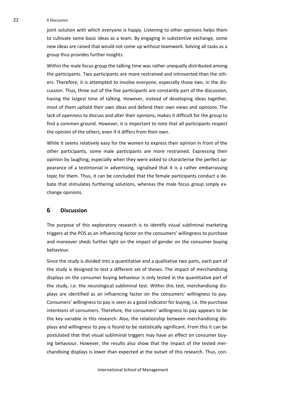#### 22 6 Discussion

joint solution with which everyone is happy. Listening to other opinions helps them to cultivate some basic ideas as a team. By engaging in substantive exchange, some new ideas are raised that would not come up without teamwork. Solving all tasks as a group thus provides further insights.

Within the male focus group the talking time was rather unequally distributed among the participants. Two participants are more restrained and introverted than the others. Therefore, it is attempted to involve everyone, especially those two, in the discussion. Thus, three out of the five participants are constantly part of the discussion, having the largest time of talking. However, instead of developing ideas together, most of them uphold their own ideas and defend their own views and opinions. The lack of openness to discuss and alter their opinions, makes it difficult for the group to find a common ground. However, it is important to note that all participants respect the opinion of the others, even if it differs from their own.

While it seems relatively easy for the women to express their opinion in front of the other participants, some male participants are more restrained. Expressing their opinion by laughing, especially when they were asked to characterise the perfect appearance of a testimonial in advertising, signalised that it is a rather embarrassing topic for them. Thus, it can be concluded that the female participants conduct a debate that stimulates furthering solutions, whereas the male focus group simply exchange opinions.

# <span id="page-26-0"></span>**6 Discussion**

The purpose of this exploratory research is to identify visual subliminal marketing triggers at the POS as an influencing factor on the consumers' willingness to purchase and moreover sheds further light on the impact of gender on the consumer buying behaviour.

Since the study is divided into a quantitative and a qualitative two parts, each part of the study is designed to test a different set of theses. The impact of merchandising displays on the consumer buying behaviour is only tested in the quantitative part of the study, i.e. the neurological subliminal test. Within this test, merchandising displays are identified as an influencing factor on the consumers' willingness to pay. Consumers' willingness to pay is seen as a good indicator for buying, i.e. the purchase intentions of consumers. Therefore, the consumers' willingness to pay appears to be the key variable in this research. Also, the relationship between merchandising displays and willingness to pay is found to be statistically significant. From this it can be postulated that that visual subliminal triggers may have an effect on consumer buying behaviour. However, the results also show that the impact of the tested merchandising displays is lower than expected at the outset of this research. Thus, con-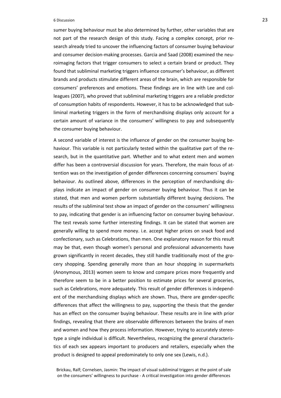#### 6 Discussion 23

sumer buying behaviour must be also determined by further, other variables that are not part of the research design of this study. Facing a complex concept, prior research already tried to uncover the influencing factors of consumer buying behaviour and consumer decision-making processes. Garcia and Saad (2008) examined the neuroimaging factors that trigger consumers to select a certain brand or product. They found that subliminal marketing triggers influence consumer's behaviour, as different brands and products stimulate different areas of the brain, which are responsible for consumers' preferences and emotions. These findings are in line with Lee and colleagues (2007), who proved that subliminal marketing triggers are a reliable predictor of consumption habits of respondents. However, it has to be acknowledged that subliminal marketing triggers in the form of merchandising displays only account for a certain amount of variance in the consumers' willingness to pay and subsequently the consumer buying behaviour.

A second variable of interest is the influence of gender on the consumer buying behaviour. This variable is not particularly tested within the qualitative part of the research, but in the quantitative part. Whether and to what extent men and women differ has been a controversial discussion for years. Therefore, the main focus of attention was on the investigation of gender differences concerning consumers´ buying behaviour. As outlined above, differences in the perception of merchandising displays indicate an impact of gender on consumer buying behaviour. Thus it can be stated, that men and women perform substantially different buying decisions. The results of the subliminal test show an impact of gender on the consumers' willingness to pay, indicating that gender is an influencing factor on consumer buying behaviour. The test reveals some further interesting findings. It can be stated that women are generally willing to spend more money. i.e. accept higher prices on snack food and confectionary, such as Celebrations, than men. One explanatory reason for this result may be that, even though women's personal and professional advancements have grown significantly in recent decades, they still handle traditionally most of the grocery shopping. Spending generally more than an hour shopping in supermarkets (Anonymous, 2013) women seem to know and compare prices more frequently and therefore seem to be in a better position to estimate prices for several groceries, such as Celebrations, more adequately. This result of gender differences is independent of the merchandising displays which are shown. Thus, there are gender-specific differences that affect the willingness to pay, supporting the thesis that the gender has an effect on the consumer buying behaviour. These results are in line with prior findings, revealing that there are observable differences between the brains of men and women and how they process information. However, trying to accurately stereotype a single individual is difficult. Nevertheless, recognizing the general characteristics of each sex appears important to producers and retailers, especially when the product is designed to appeal predominately to only one sex (Lewis, n.d.).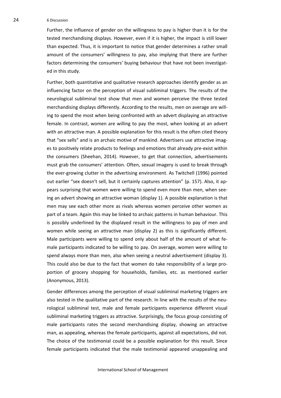24 6 Discussion

Further, the influence of gender on the willingness to pay is higher than it is for the tested merchandising displays. However, even if it is higher, the impact is still lower than expected. Thus, it is important to notice that gender determines a rather small amount of the consumers' willingness to pay, also implying that there are further factors determining the consumers' buying behaviour that have not been investigated in this study.

Further, both quantitative and qualitative research approaches identify gender as an influencing factor on the perception of visual subliminal triggers. The results of the neurological subliminal test show that men and women perceive the three tested merchandising displays differently. According to the results, men on average are willing to spend the most when being confronted with an advert displaying an attractive female. In contrast, women are willing to pay the most, when looking at an advert with an attractive man. A possible explanation for this result is the often cited theory that "sex sells" and is an archaic motive of mankind. Advertisers use attractive images to positively relate products to feelings and emotions that already pre-exist within the consumers (Sheehan, 2014). However, to get that connection, advertisements must grab the consumers' attention. Often, sexual imagery is used to break through the ever-growing clutter in the advertising environment. As Twitchell (1996) pointed out earlier "sex doesn't sell, but it certainly captures attention" (p. 157). Also, it appears surprising that women were willing to spend even more than men, when seeing an advert showing an attractive woman (display 1). A possible explanation is that men may see each other more as rivals whereas women perceive other women as part of a team. Again this may be linked to archaic patterns in human behaviour. This is possibly underlined by the displayed result in the willingness to pay of men and women while seeing an attractive man (display 2) as this is significantly different. Male participants were willing to spend only about half of the amount of what female participants indicated to be willing to pay. On average, women were willing to spend always more than men, also when seeing a neutral advertisement (display 3). This could also be due to the fact that women do take responsibility of a large proportion of grocery shopping for households, families, etc. as mentioned earlier (Anonymous, 2013).

Gender differences among the perception of visual subliminal marketing triggers are also tested in the qualitative part of the research. In line with the results of the neurological subliminal test, male and female participants experience different visual subliminal marketing triggers as attractive. Surprisingly, the focus group consisting of male participants rates the second merchandising display, showing an attractive man, as appealing, whereas the female participants, against all expectations, did not. The choice of the testimonial could be a possible explanation for this result. Since female participants indicated that the male testimonial appeared unappealing and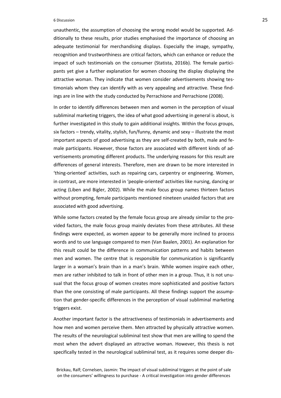#### 6 Discussion 25

unauthentic, the assumption of choosing the wrong model would be supported. Additionally to these results, prior studies emphasised the importance of choosing an adequate testimonial for merchandising displays. Especially the image, sympathy, recognition and trustworthiness are critical factors, which can enhance or reduce the impact of such testimonials on the consumer (Statista, 2016b). The female participants yet give a further explanation for women choosing the display displaying the attractive woman. They indicate that women consider advertisements showing testimonials whom they can identify with as very appealing and attractive. These findings are in line with the study conducted by Perrachione and Perrachione (2008).

In order to identify differences between men and women in the perception of visual subliminal marketing triggers, the idea of what good advertising in general is about, is further investigated in this study to gain additional insights. Within the focus groups, six factors – trendy, vitality, stylish, fun/funny, dynamic and sexy – illustrate the most important aspects of good advertising as they are self-created by both, male and female participants. However, those factors are associated with different kinds of advertisements promoting different products. The underlying reasons for this result are differences of general interests. Therefore, men are drawn to be more interested in 'thing-oriented' activities, such as repairing cars, carpentry or engineering. Women, in contrast, are more interested in 'people-oriented' activities like nursing, dancing or acting (Liben and Bigler, 2002). While the male focus group names thirteen factors without prompting, female participants mentioned nineteen unaided factors that are associated with good advertising.

While some factors created by the female focus group are already similar to the provided factors, the male focus group mainly deviates from these attributes. All these findings were expected, as women appear to be generally more inclined to process words and to use language compared to men (Van Baalen, 2001). An explanation for this result could be the difference in communication patterns and habits between men and women. The centre that is responsible for communication is significantly larger in a woman's brain than in a man's brain. While women inspire each other, men are rather inhibited to talk in front of other men in a group. Thus, it is not unusual that the focus group of women creates more sophisticated and positive factors than the one consisting of male participants. All these findings support the assumption that gender-specific differences in the perception of visual subliminal marketing triggers exist.

Another important factor is the attractiveness of testimonials in advertisements and how men and women perceive them. Men attracted by physically attractive women. The results of the neurological subliminal test show that men are willing to spend the most when the advert displayed an attractive woman. However, this thesis is not specifically tested in the neurological subliminal test, as it requires some deeper dis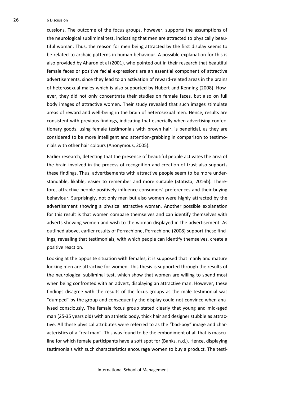26 6 Discussion

cussions. The outcome of the focus groups, however, supports the assumptions of the neurological subliminal test, indicating that men are attracted to physically beautiful woman. Thus, the reason for men being attracted by the first display seems to be related to archaic patterns in human behaviour. A possible explanation for this is also provided by Aharon et al (2001), who pointed out in their research that beautiful female faces or positive facial expressions are an essential component of attractive advertisements, since they lead to an activation of reward-related areas in the brains of heterosexual males which is also supported by Hubert and Kenning (2008). However, they did not only concentrate their studies on female faces, but also on full body images of attractive women. Their study revealed that such images stimulate areas of reward and well-being in the brain of heterosexual men. Hence, results are consistent with previous findings, indicating that especially when advertising confectionary goods, using female testimonials with brown hair, is beneficial, as they are considered to be more intelligent and attention-grabbing in comparison to testimonials with other hair colours (Anonymous, 2005).

Earlier research, detecting that the presence of beautiful people activates the area of the brain involved in the process of recognition and creation of trust also supports these findings. Thus, advertisements with attractive people seem to be more understandable, likable, easier to remember and more suitable (Statista, 2016b). Therefore, attractive people positively influence consumers' preferences and their buying behaviour. Surprisingly, not only men but also women were highly attracted by the advertisement showing a physical attractive woman. Another possible explanation for this result is that women compare themselves and can identify themselves with adverts showing women and wish to the woman displayed in the advertisement. As outlined above, earlier results of Perrachione, Perrachione (2008) support these findings, revealing that testimonials, with which people can identify themselves, create a positive reaction.

Looking at the opposite situation with females, it is supposed that manly and mature looking men are attractive for women. This thesis is supported through the results of the neurological subliminal test, which show that women are willing to spend most when being confronted with an advert, displaying an attractive man. However, these findings disagree with the results of the focus groups as the male testimonial was "dumped" by the group and consequently the display could not convince when analysed consciously. The female focus group stated clearly that young and mid-aged man (25-35 years old) with an athletic body, thick hair and designer stubble as attractive. All these physical attributes were referred to as the "bad-boy" image and characteristics of a "real man". This was found to be the embodiment of all that is masculine for which female participants have a soft spot for (Banks, n.d.). Hence, displaying testimonials with such characteristics encourage women to buy a product. The testi-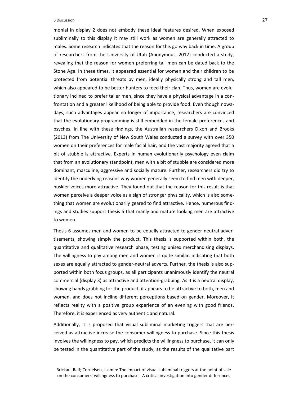#### 6 Discussion 27

monial in display 2 does not embody these ideal features desired. When exposed subliminally to this display it may still work as women are generally attracted to males. Some research indicates that the reason for this go way back in time. A group of researchers from the University of Utah (Anonymous, 2012) conducted a study, revealing that the reason for women preferring tall men can be dated back to the Stone Age. In these times, it appeared essential for women and their children to be protected from potential threats by men, ideally physically strong and tall men, which also appeared to be better hunters to feed their clan. Thus, women are evolutionary inclined to prefer taller men, since they have a physical advantage in a confrontation and a greater likelihood of being able to provide food. Even though nowadays, such advantages appear no longer of importance, researchers are convinced that the evolutionary programming is still embedded in the female preferences and psyches. In line with these findings, the Australian researchers Dixon and Brooks (2013) from The University of New South Wales conducted a survey with over 350 women on their preferences for male facial hair, and the vast majority agreed that a bit of stubble is attractive. Experts in human evolutionarily psychology even claim that from an evolutionary standpoint, men with a bit of stubble are considered more dominant, masculine, aggressive and socially mature. Further, researchers did try to identify the underlying reasons why women generally seem to find men with deeper, huskier voices more attractive. They found out that the reason for this result is that women perceive a deeper voice as a sign of stronger physicality, which is also something that women are evolutionarily geared to find attractive. Hence, numerous findings and studies support thesis 5 that manly and mature looking men are attractive to women.

Thesis 6 assumes men and women to be equally attracted to gender-neutral advertisements, showing simply the product. This thesis is supported within both, the quantitative and qualitative research phase, testing unisex merchandising displays. The willingness to pay among men and women is quite similar, indicating that both sexes are equally attracted to gender-neutral adverts. Further, the thesis is also supported within both focus groups, as all participants unanimously identify the neutral commercial (display 3) as attractive and attention-grabbing. As it is a neutral display, showing hands grabbing for the product, it appears to be attractive to both, men and women, and does not incline different perceptions based on gender. Moreover, it reflects reality with a positive group experience of an evening with good friends. Therefore, it is experienced as very authentic and natural.

Additionally, it is proposed that visual subliminal marketing triggers that are perceived as attractive increase the consumer willingness to purchase. Since this thesis involves the willingness to pay, which predicts the willingness to purchase, it can only be tested in the quantitative part of the study, as the results of the qualitative part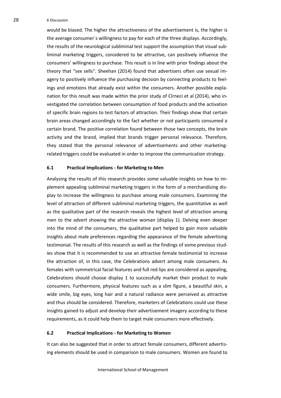28 6 Discussion

would be biased. The higher the attractiveness of the advertisement is, the higher is the average consumer´s willingness to pay for each of the three displays. Accordingly, the results of the neurological subliminal test support the assumption that visual subliminal marketing triggers, considered to be attractive, can positively influence the consumers' willingness to purchase. This result is in line with prior findings about the theory that "sex sells". Sheehan (2014) found that advertisers often use sexual imagery to positively influence the purchasing decision by connecting products to feelings and emotions that already exist within the consumers. Another possible explanation for this result was made within the prior study of Cîrneci et al (2014), who investigated the correlation between consumption of food products and the activation of specific brain regions to test factors of attraction. Their findings show that certain brain areas changed accordingly to the fact whether or not participants consumed a certain brand. The positive correlation found between those two concepts, the brain activity and the brand, implied that brands trigger personal relevance. Therefore, they stated that the personal relevance of advertisements and other marketingrelated triggers could be evaluated in order to improve the communication strategy.

#### <span id="page-32-0"></span>**6.1 Practical Implications - for Marketing to Men**

Analysing the results of this research provides some valuable insights on how to implement appealing subliminal marketing triggers in the form of a merchandising display to increase the willingness to purchase among male consumers. Examining the level of attraction of different subliminal marketing triggers, the quantitative as well as the qualitative part of the research reveals the highest level of attraction among men to the advert showing the attractive woman (display 1). Delving even deeper into the mind of the consumers, the qualitative part helped to gain more valuable insights about male preferences regarding the appearance of the female advertising testimonial. The results of this research as well as the findings of some previous studies show that it is recommended to use an attractive female testimonial to increase the attraction of, in this case, the Celebrations advert among male consumers. As females with symmetrical facial features and full red lips are considered as appealing, Celebrations should choose display 1 to successfully market their product to male consumers. Furthermore, physical features such as a slim figure, a beautiful skin, a wide smile, big eyes, long hair and a natural radiance were perceived as attractive and thus should be considered. Therefore, marketers of Celebrations could use these insights gained to adjust and develop their advertisement imagery according to these requirements, as it could help them to target male consumers more effectively.

#### <span id="page-32-1"></span>**6.2 Practical Implications - for Marketing to Women**

It can also be suggested that in order to attract female consumers, different advertising elements should be used in comparison to male consumers. Women are found to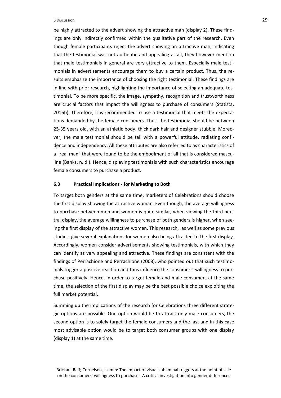#### 6 Discussion 29

be highly attracted to the advert showing the attractive man (display 2). These findings are only indirectly confirmed within the qualitative part of the research. Even though female participants reject the advert showing an attractive man, indicating that the testimonial was not authentic and appealing at all, they however mention that male testimonials in general are very attractive to them. Especially male testimonials in advertisements encourage them to buy a certain product. Thus, the results emphasize the importance of choosing the right testimonial. These findings are in line with prior research, highlighting the importance of selecting an adequate testimonial. To be more specific, the image, sympathy, recognition and trustworthiness are crucial factors that impact the willingness to purchase of consumers (Statista, 2016b). Therefore, it is recommended to use a testimonial that meets the expectations demanded by the female consumers. Thus, the testimonial should be between 25-35 years old, with an athletic body, thick dark hair and designer stubble. Moreover, the male testimonial should be tall with a powerful attitude, radiating confidence and independency. All these attributes are also referred to as characteristics of a "real man" that were found to be the embodiment of all that is considered masculine (Banks, n. d.). Hence, displaying testimonials with such characteristics encourage female consumers to purchase a product.

#### <span id="page-33-0"></span>**6.3 Practical Implications - for Marketing to Both**

To target both genders at the same time, marketers of Celebrations should choose the first display showing the attractive woman. Even though, the average willingness to purchase between men and women is quite similar, when viewing the third neutral display, the average willingness to purchase of both genders is higher, when seeing the first display of the attractive women. This research, as well as some previous studies, give several explanations for women also being attracted to the first display. Accordingly, women consider advertisements showing testimonials, with which they can identify as very appealing and attractive. These findings are consistent with the findings of Perrachione and Perrachione (2008), who pointed out that such testimonials trigger a positive reaction and thus influence the consumers' willingness to purchase positively. Hence, in order to target female and male consumers at the same time, the selection of the first display may be the best possible choice exploiting the full market potential.

Summing up the implications of the research for Celebrations three different strategic options are possible. One option would be to attract only male consumers, the second option is to solely target the female consumers and the last and in this case most advisable option would be to target both consumer groups with one display (display 1) at the same time.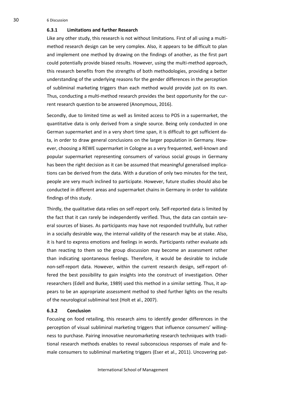30 6 Discussion

#### <span id="page-34-0"></span>**6.3.1 Limitations and further Research**

Like any other study, this research is not without limitations. First of all using a multimethod research design can be very complex. Also, it appears to be difficult to plan and implement one method by drawing on the findings of another, as the first part could potentially provide biased results. However, using the multi-method approach, this research benefits from the strengths of both methodologies, providing a better understanding of the underlying reasons for the gender differences in the perception of subliminal marketing triggers than each method would provide just on its own. Thus, conducting a multi-method research provides the best opportunity for the current research question to be answered (Anonymous, 2016).

Secondly, due to limited time as well as limited access to POS in a supermarket, the quantitative data is only derived from a single source. Being only conducted in one German supermarket and in a very short time span, it is difficult to get sufficient data, in order to draw general conclusions on the larger population in Germany. However, choosing a REWE supermarket in Cologne as a very frequented, well-known and popular supermarket representing consumers of various social groups in Germany has been the right decision as it can be assumed that meaningful generalised implications can be derived from the data. With a duration of only two minutes for the test, people are very much inclined to participate. However, future studies should also be conducted in different areas and supermarket chains in Germany in order to validate findings of this study.

Thirdly, the qualitative data relies on self-report only. Self-reported data is limited by the fact that it can rarely be independently verified. Thus, the data can contain several sources of biases. As participants may have not responded truthfully, but rather in a socially desirable way, the internal validity of the research may be at stake. Also, it is hard to express emotions and feelings in words. Participants rather evaluate ads than reacting to them so the group discussion may become an assessment rather than indicating spontaneous feelings. Therefore, it would be desirable to include non-self-report data. However, within the current research design, self-report offered the best possibility to gain insights into the construct of investigation. Other researchers (Edell and Burke, 1989) used this method in a similar setting. Thus, it appears to be an appropriate assessment method to shed further lights on the results of the neurological subliminal test (Holt et al., 2007).

#### <span id="page-34-1"></span>**6.3.2 Conclusion**

Focusing on food retailing, this research aims to identify gender differences in the perception of visual subliminal marketing triggers that influence consumers' willingness to purchase. Pairing innovative neuromarketing research techniques with traditional research methods enables to reveal subconscious responses of male and female consumers to subliminal marketing triggers (Eser et al., 2011). Uncovering pat-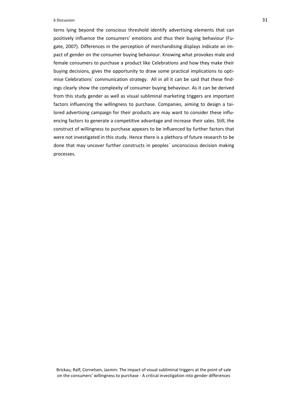#### $\overline{31}$  Discussion  $\overline{31}$

terns lying beyond the conscious threshold identify advertising elements that can positively influence the consumers' emotions and thus their buying behaviour (Fugate, 2007). Differences in the perception of merchandising displays indicate an impact of gender on the consumer buying behaviour. Knowing what provokes male and female consumers to purchase a product like Celebrations and how they make their buying decisions, gives the opportunity to draw some practical implications to optimise Celebrations´ communication strategy. All in all it can be said that these findings clearly show the complexity of consumer buying behaviour. As it can be derived from this study gender as well as visual subliminal marketing triggers are important factors influencing the willingness to purchase. Companies, aiming to design a tailored advertising campaign for their products are may want to consider these influencing factors to generate a competitive advantage and increase their sales. Still, the construct of willingness to purchase appears to be influenced by further factors that were not investigated in this study. Hence there is a plethora of future research to be done that may uncover further constructs in peoples´ unconscious decision making processes.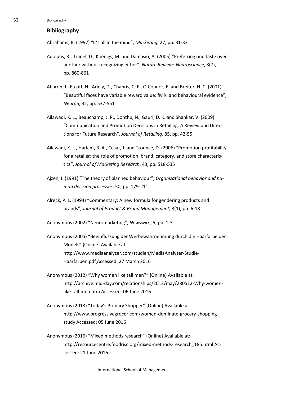# <span id="page-36-0"></span>**Bibliography**

Abrahams, B. (1997) "It's all in the mind", *Marketing*, 27, pp. 31-33

- Adolphs, R., Tranel, D., Koenigs, M. and Damasio, A. (2005) "Preferring one taste over another without recognizing either", *Nature Reviews Neuroscience*, 8(7), pp. 860-861
- Aharon, I., Etcoff, N., Ariely, D., Chabris, C. F., O'Connor, E. and Breiter, H. C. (2001) "Beautiful faces have variable reward value: fMRI and behavioural evidence", *Neuron*, 32, pp. 537-551
- Ailawadi, K. L., Beauchamp, J. P., Donthu, N., Gauri, D. K. and Shankar, V. (2009) "Communication and Promotion Decisions in Retailing: A Review and Directions for Future Research", *Journal of Retailing*, 85, pp. 42-55
- Ailawadi, K. L., Harlam, B. A., Cesar, J. and Trounce, D. (2006) "Promotion profitability for a retailer: the role of promotion, brand, category, and store characteristics", *Journal of Marketing Research*, 43, pp. 518-535
- Ajzen, I. (1991) "The theory of planned behaviour", *Organizational behavior and human decision processes*, 50, pp. 179-211
- Alreck, P. L. (1994) "Commentary: A new formula for gendering products and brands", *Journal of Product & Brand Management*, 3(1), pp. 6-18
- Anonymous (2002) "Neuromarketing", *Newswire*, 5, pp. 1-3
- Anonymous (2005) "Beeinflussung der Werbewahrnehmung durch die Haarfarbe der Models" {Online} Available at: http://www.mediaanalyzer.com/studien/MediaAnalyzer-Studie-Haarfarben.pdf Accessed: 27 March 2016
- Anonymous (2012) "Why women like tall men?" {Online} Available at: http://archive.mid-day.com/relationships/2012/may/280512-Why-womenlike-tall-men.htm Accessed: 06 June 2016
- Anonymous (2013) "Today's Primary Shopper" {Online} Available at: http://www.progressivegrocer.com/women-dominate-grocery-shoppingstudy Accessed: 05 June 2016
- Anonymous (2016) "Mixed methods research" {Online} Available at: http://resourcecentre.foodrisc.org/mixed-methods-research\_185.html Accessed: 21 June 2016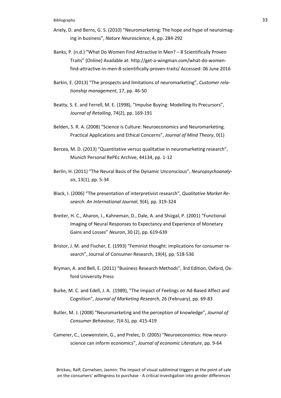- Ariely, D. and Berns, G. S. (2010) "Neuromarketing: The hope and hype of neuroimaging in business", *Nature Neuroscience*, 4, pp. 284-292
- Banks, P. (n.d.) "What Do Women Find Attractive In Men? 8 Scientifically Proven Traits" {Online} Available at: [http://get-a-wingman.com/what-do-women](http://get-a-wingman.com/what-do-women-find-attractive-in-men-8-scientifically-proven-traits/)[find-attractive-in-men-8-scientifically-proven-traits/](http://get-a-wingman.com/what-do-women-find-attractive-in-men-8-scientifically-proven-traits/) Accessed: 06 June 2016
- Barkin, E. (2013) "The prospects and limitations of neuromarketing", *Customer relationship management*, 17, pp. 46-50
- Beatty, S. E. and Ferrell, M. E. (1998), "Impulse Buying: Modelling Its Precursors", *Journal of Retailing*, 74(2), pp. 169-191
- Belden, S. R. A. (2008) "Science is Culture: Neuroeconomics and Neuromarketing. Practical Applications and Ethical Concerns", *Journal of Mind Theory*, 0(1)
- Bercea, M. D. (2013) "Quantitative versus qualitative in neuromarketing research", Munich Personal RePEc Archive, 44134, pp. 1-12
- Berlin, H. (2011) "The Neural Basis of the Dynamic Unconscious", *Neuropsychoanalysis*, 13(1), pp. 5-34
- Black, I. (2006) "The presentation of interpretivist research", *Qualitative Market Research: An International Journal*, 9(4), pp. 319-324
- Breiter, H. C., Aharon, I., Kahneman, D., Dale, A. and Shizgal, P. (2001) "Functional Imaging of Neural Responses to Expectancy and Experience of Monetary Gains and Losses" *Neuron*, 30 (2), pp. 619-639
- Bristor, J. M. and Fischer, E. (1993) "Feminist thought: implications for consumer research", Journal of Consumer Research, 19(4), pp. 518-536
- Bryman, A. and Bell, E. (2011) "Business Research Methods", 3rd Edition, Oxford, Oxford University Press
- Burke, M. C. and Edell, J. A. (1989), "The Impact of Feelings on Ad-Based Affect and Cognition", *Journal of Marketing Research*, 26 (February), pp. 69-83
- Butler, M. J. (2008) "Neuromarketing and the perception of knowledge", *Journal of Consumer Behaviour,* 7(4‐5), pp. 415-419
- Camerer, C., Loewenstein, G., and Prelec, D. (2005) "Neuroeconomics: How neuroscience can inform economics", *Journal of economic Literature*, pp. 9-64

Brickau, Ralf; Cornelsen, Jasmin: The impact of visual subliminal triggers at the point of sale on the consumers' willingness to purchase - A critical investigation into gender differences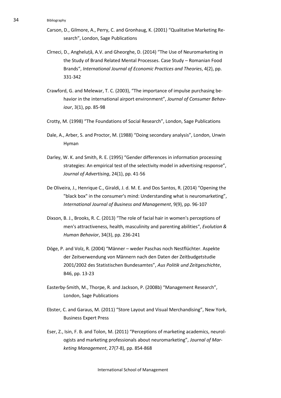- Carson, D., Gilmore, A., Perry, C. and Gronhaug, K. (2001) "Qualitative Marketing Research", London, Sage Publications
- Cîrneci, D., Angheluță, A.V. and Gheorghe, D. (2014) "The Use of Neuromarketing in the Study of Brand Related Mental Processes. Case Study – Romanian Food Brands", *International Journal of Economic Practices and Theories*, 4(2), pp. 331-342
- Crawford, G. and Melewar, T. C. (2003), "The importance of impulse purchasing behavior in the international airport environment", *Journal of Consumer Behaviour*, 3(1), pp. 85-98
- Crotty, M. (1998) "The Foundations of Social Research", London, Sage Publications
- Dale, A., Arber, S. and Proctor, M. (1988) "Doing secondary analysis", London, Unwin Hyman
- Darley, W. K. and Smith, R. E. (1995) "Gender differences in information processing strategies: An empirical test of the selectivity model in advertising response", *Journal of Advertising*, 24(1), pp. 41-56
- De Oliveira, J., Henrique C., Giraldi, J. d. M. E. and Dos Santos, R. (2014) "Opening the "black box" in the consumer's mind: Understanding what is neuromarketing", *International Journal of Business and Management*, 9(9), pp. 96-107
- Dixson, B. J., Brooks, R. C. (2013) "The role of facial hair in women's perceptions of men's attractiveness, health, masculinity and parenting abilities", *Evolution & Human Behavior*, 34(3), pp. 236-241
- Döge, P. and Volz, R. (2004) "Männer weder Paschas noch Nestflüchter. Aspekte der Zeitverwendung von Männern nach den Daten der Zeitbudgetstudie 2001/2002 des Statistischen Bundesamtes", *Aus Politik und Zeitgeschichte*, B46, pp. 13-23
- Easterby-Smith, M., Thorpe, R. and Jackson, P. (2008b) "Management Research", London, Sage Publications
- Ebster, C. and Garaus, M. (2011) "Store Layout and Visual Merchandising", New York, Business Expert Press
- Eser, Z., Isin, F. B. and Tolon, M. (2011) "Perceptions of marketing academics, neurologists and marketing professionals about neuromarketing", *Journal of Marketing Management*, 27(7-8), pp. 854-868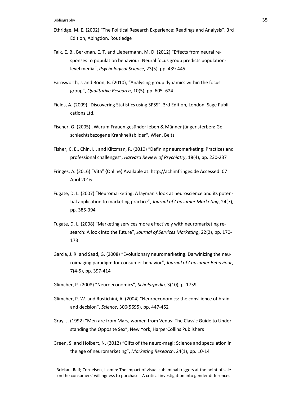- Ethridge, M. E. (2002) "The Political Research Experience: Readings and Analysis", 3rd Edition, Abingdon, Routledge
- Falk, E. B., Berkman, E. T, and Liebermann, M. D. (2012) "Effects from neural responses to population behaviour: Neural focus group predicts populationlevel media", *Psychological Science*, 23(5), pp. 439-445
- Farnsworth, J. and Boon, B. (2010), "Analysing group dynamics within the focus group", *Qualitative Research*, 10(5), pp. 605–624
- Fields, A. (2009) "Discovering Statistics using SPSS", 3rd Edition, London, Sage Publications Ltd.
- Fischer, G. (2005) "Warum Frauen gesünder leben & Männer jünger sterben: Geschlechtsbezogene Krankheitsbilder", Wien, Beltz
- Fisher, C. E., Chin, L., and Klitzman, R. (2010) "Defining neuromarketing: Practices and professional challenges", *Harvard Review of Psychiatry*, 18(4), pp. 230-237
- Fringes, A. (2016) "Vita" {Online} Available at: http://achimfringes.de Accessed: 07 April 2016
- Fugate, D. L. (2007) "Neuromarketing: A layman's look at neuroscience and its potential application to marketing practice", *Journal of Consumer Marketing*, 24(7), pp. 385-394
- Fugate, D. L. (2008) "Marketing services more effectively with neuromarketing research: A look into the future", *Journal of Services Marketing*, 22(2), pp. 170- 173
- Garcia, J. R. and Saad, G. (2008) "Evolutionary neuromarketing: Darwinizing the neuroimaging paradigm for consumer behavior", *Journal of Consumer Behaviour*, 7(4‐5), pp. 397-414
- Glimcher, P. (2008) "Neuroeconomics", *Scholarpedia,* 3(10), p. 1759
- Glimcher, P. W. and Rustichini, A. (2004) "Neuroeconomics: the consilience of brain and decision", *Science*, 306(5695), pp. 447-452
- Gray, J. (1992) "Men are from Mars, women from Venus: The Classic Guide to Understanding the Opposite Sex", New York, HarperCollins Publishers
- Green, S. and Holbert, N. (2012) "Gifts of the neuro-magi: Science and speculation in the age of neuromarketing", *Marketing Research*, 24(1), pp. 10-14

Brickau, Ralf; Cornelsen, Jasmin: The impact of visual subliminal triggers at the point of sale on the consumers' willingness to purchase - A critical investigation into gender differences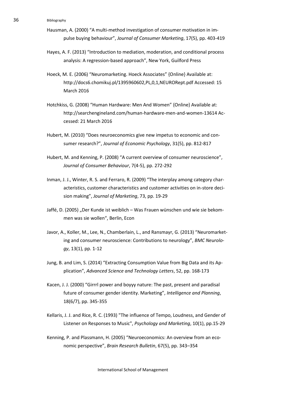- Hausman, A. (2000) "A multi-method investigation of consumer motivation in impulse buying behaviour", *Journal of Consumer Marketing*, 17(5), pp. 403-419
- Hayes, A. F. (2013) "Introduction to mediation, moderation, and conditional process analysis: A regression-based approach", New York, Guilford Press
- Hoeck, M. E. (2006) "Neuromarketing. Hoeck Associates" {Online} Available at: http://docs6.chomikuj.pl/1395960602,PL,0,1,NEURORept.pdf Accessed: 15 March 2016
- Hotchkiss, G. (2008) "Human Hardware: Men And Women" {Online} Available at: http://searchengineland.com/human-hardware-men-and-women-13614 Accessed: 21 March 2016
- Hubert, M. (2010) "Does neuroeconomics give new impetus to economic and consumer research?", *Journal of Economic Psychology*, 31(5), pp. 812-817
- Hubert, M. and Kenning, P. (2008) "A current overview of consumer neuroscience", *Journal of Consumer Behaviour*, 7(4‐5), pp. 272-292
- Inman, J. J., Winter, R. S. and Ferraro, R. (2009) "The interplay among category characteristics, customer characteristics and customer activities on in-store decision making", *Journal of Marketing*, 73, pp. 19-29
- Jaffé, D. (2005) "Der Kunde ist weiblich Was Frauen wünschen und wie sie bekommen was sie wollen", Berlin, Econ
- Javor, A., Koller, M., Lee, N., Chamberlain, L., and Ransmayr, G. (2013) "Neuromarketing and consumer neuroscience: Contributions to neurology", *BMC Neurology*, 13(1), pp. 1-12
- Jung, B. and Lim, S. (2014) "Extracting Consumption Value from Big Data and its Application", *Advanced Science and Technology Letters*, 52, pp. 168-173
- Kacen, J. J. (2000) "Girrrl power and boyyy nature: The past, present and paradisal future of consumer gender identity. Marketing", *Intelligence and Planning*, 18(6/7), pp. 345-355
- Kellaris, J. J. and Rice, R. C. (1993) "The influence of Tempo, Loudness, and Gender of Listener on Responses to Music", *Psychology and Marketing*, 10(1), pp.15-29
- Kenning, P. and Plassmann, H. (2005) "Neuroeconomics: An overview from an economic perspective", *Brain Research Bulletin*, 67(5), pp. 343–354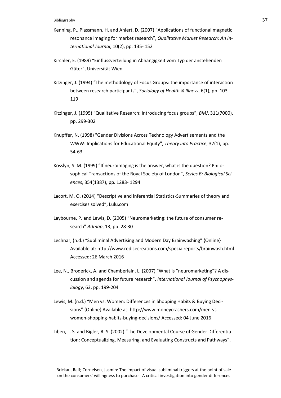- Kenning, P., Plassmann, H. and Ahlert, D. (2007) "Applications of functional magnetic resonance imaging for market research", *Qualitative Market Research: An International Journal*, 10(2), pp. 135- 152
- Kirchler, E. (1989) "Einflussverteilung in Abhängigkeit vom Typ der anstehenden Güter", Universität Wien
- Kitzinger, J. (1994) "The methodology of Focus Groups: the importance of interaction between research participants", *Sociology of Health & Illness*, 6(1), pp. 103- 119
- Kitzinger, J. (1995) "Qualitative Research: Introducing focus groups", *BMJ*, 311(7000), pp. 299-302
- Knupffer, N. (1998) "Gender Divisions Across Technology Advertisements and the WWW: Implications for Educational Equity", *Theory into Practice*, 37(1), pp. 54-63
- Kosslyn, S. M. (1999) "If neuroimaging is the answer, what is the question? Philosophical Transactions of the Royal Society of London", *Series B: Biological Sciences*, 354(1387), pp. 1283- 1294
- Lacort, M. O. (2014) "Descriptive and inferential Statistics-Summaries of theory and exercises solved", Lulu.com
- Laybourne, P. and Lewis, D. (2005) "Neuromarketing: the future of consumer research" *Admap*, 13, pp. 28-30
- Lechnar, (n.d.) "Subliminal Advertising and Modern Day Brainwashing" {Online} Available at: http://www.redicecreations.com/specialreports/brainwash.html Accessed: 26 March 2016
- Lee, N., Broderick, A. and Chamberlain, L. (2007) "What is "neuromarketing"? A discussion and agenda for future research", *International Journal of Psychophysiology*, 63, pp. 199-204
- Lewis, M. (n.d.) "Men vs. Women: Differences in Shopping Habits & Buying Decisions" {Online} Available at: http://www.moneycrashers.com/men-vswomen-shopping-habits-buying-decisions/ Accessed: 04 June 2016
- Liben, L. S. and Bigler, R. S. (2002) "The Developmental Course of Gender Differentiation: Conceptualizing, Measuring, and Evaluating Constructs and Pathways",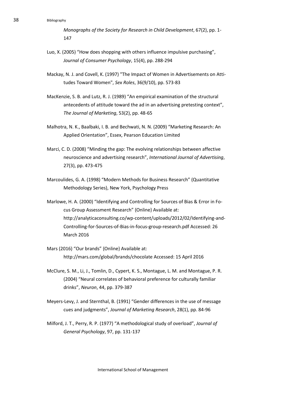*Monographs of the Society for Research in Child Development*, 67(2), pp. 1- 147

- Luo, X. (2005) "How does shopping with others influence impulsive purchasing", *Journal of Consumer Psychology*, 15(4), pp. 288-294
- Mackay, N. J. and Covell, K. (1997) "The Impact of Women in Advertisements on Attitudes Toward Women", *Sex Roles*, 36(9/10), pp. 573-83
- MacKenzie, S. B. and Lutz, R. J. (1989) "An empirical examination of the structural antecedents of attitude toward the ad in an advertising pretesting context", *The Journal of Marketing*, 53(2), pp. 48-65
- Malhotra, N. K., Baalbaki, I. B. and Bechwati, N. N. (2009) "Marketing Research: An Applied Orientation", Essex, Pearson Education Limited
- Marci, C. D. (2008) "Minding the gap: The evolving relationships between affective neuroscience and advertising research", *International Journal of Advertising*, 27(3), pp. 473-475
- Marcoulides, G. A. (1998) "Modern Methods for Business Research" (Quantitative Methodology Series), New York, Psychology Press
- Marlowe, H. A. (2000) "Identifying and Controlling for Sources of Bias & Error in Focus Group Assessment Research" {Online} Available at: http://analyticaconsulting.co/wp-content/uploads/2012/02/Identifying-and-Controlling-for-Sources-of-Bias-in-focus-group-research.pdf Accessed: 26 March 2016
- Mars (2016) "Our brands" {Online} Available at: http://mars.com/global/brands/chocolate Accessed: 15 April 2016
- McClure, S. M., Li, J., Tomlin, D., Cypert, K. S., Montague, L. M. and Montague, P. R. (2004) "Neural correlates of behavioral preference for culturally familiar drinks", *Neuron*, 44, pp. 379-387
- Meyers-Levy, J. and Sternthal, B. (1991) "Gender differences in the use of message cues and judgments", *Journal of Marketing Research*, 28(1), pp. 84-96
- Milford, J. T., Perry, R. P. (1977) "A methodological study of overload", *Journal of General Psychology*, 97, pp. 131-137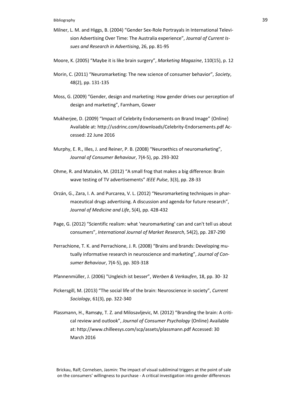- Milner, L. M. and Higgs, B. (2004) "Gender Sex-Role Portrayals in International Television Advertising Over Time: The Australia experience", *Journal of Current Issues and Research in Advertising*, 26, pp. 81-95
- Moore, K. (2005) "Maybe it is like brain surgery", *Marketing Magazine*, 110(15), p. 12
- Morin, C. (2011) "Neuromarketing: The new science of consumer behavior", *Society*, 48(2), pp. 131-135
- Moss, G. (2009) "Gender, design and marketing: How gender drives our perception of design and marketing", Farnham, Gower
- Mukherjee, D. (2009) "Impact of Celebrity Endorsements on Brand Image" {Online} Available at:<http://usdrinc.com/downloads/Celebrity-Endorsements.pdf> Accessed: 22 June 2016
- Murphy, E. R., Illes, J. and Reiner, P. B. (2008) "Neuroethics of neuromarketing", *Journal of Consumer Behaviour*, 7(4‐5), pp. 293-302
- Ohme, R. and Matukin, M. (2012) "A small frog that makes a big difference: Brain wave testing of TV advertisements" *IEEE Pulse*, 3(3), pp. 28-33
- Orzán, G., Zara, I. A. and Purcarea, V. L. (2012) "Neuromarketing techniques in pharmaceutical drugs advertising. A discussion and agenda for future research", *Journal of Medicine and Life*, 5(4), pp. 428-432
- Page, G. (2012) "Scientific realism: what 'neuromarketing' can and can't tell us about consumers", *International Journal of Market Research*, 54(2), pp. 287-290
- Perrachione, T. K. and Perrachione, J. R. (2008) "Brains and brands: Developing mutually informative research in neuroscience and marketing", *Journal of Consumer Behaviour*, 7(4‐5), pp. 303-318
- Pfannenmüller, J. (2006) "Ungleich ist besser", *Werben & Verkaufen*, 18, pp. 30- 32
- Pickersgill, M. (2013) "The social life of the brain: Neuroscience in society", *Current Sociology*, 61(3), pp. 322-340
- Plassmann, H., Ramsøy, T. Z. and Milosavljevic, M. (2012) "Branding the brain: A critical review and outlook", *Journal of Consumer Psychology* {Online} Available at: http://www.chilleesys.com/scp/assets/plassmann.pdf Accessed: 30 March 2016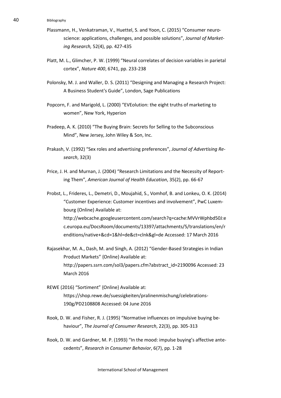- Plassmann, H., Venkatraman, V., Huettel, S. and Yoon, C. (2015) "Consumer neuroscience: applications, challenges, and possible solutions", *Journal of Marketing Research,* 52(4), pp. 427-435
- Platt, M. L., Glimcher, P. W. (1999) "Neural correlates of decision variables in parietal cortex", *Nature 400*, 6741, pp. 233-238
- Polonsky, M. J. and Waller, D. S. (2011) "Designing and Managing a Research Project: A Business Student's Guide", London, Sage Publications
- Popcorn, F. and Marigold, L. (2000) "EVEolution: the eight truths of marketing to women", New York, Hyperion
- Pradeep, A. K. (2010) "The Buying Brain: Secrets for Selling to the Subconscious Mind", New Jersey, John Wiley & Son, Inc.
- Prakash, V. (1992) "Sex roles and advertising preferences", *Journal of Advertising Research*, 32(3)
- Price, J. H. and Murnan, J. (2004) "Research Limitations and the Necessity of Reporting Them", *American Journal of Health Education*, 35(2), pp. 66-67

Probst, L., Frideres, L., Demetri, D., Moujahid, S., Vomhof, B. and Lonkeu, O. K. (2014) "Customer Experience: Customer incentives and involvement", PwC Luxembourg {Online} Available at: [http://webcache.googleusercontent.com/search?q=cache:MVVrWphbd50J:e](http://webcache.googleusercontent.com/search?q=cache:MVVrWphbd50J:ec.europa.eu/DocsRoom/documents/13397/attachments/5/translations/en/renditions/native+&cd=1&hl=de&ct=clnk&gl=de) [c.europa.eu/DocsRoom/documents/13397/attachments/5/translations/en/r](http://webcache.googleusercontent.com/search?q=cache:MVVrWphbd50J:ec.europa.eu/DocsRoom/documents/13397/attachments/5/translations/en/renditions/native+&cd=1&hl=de&ct=clnk&gl=de) [enditions/native+&cd=1&hl=de&ct=clnk&gl=de](http://webcache.googleusercontent.com/search?q=cache:MVVrWphbd50J:ec.europa.eu/DocsRoom/documents/13397/attachments/5/translations/en/renditions/native+&cd=1&hl=de&ct=clnk&gl=de) Accessed: 17 March 2016

- Rajasekhar, M. A., Dash, M. and Singh, A. (2012) "Gender-Based Strategies in Indian Product Markets" {Online} Available at: http://papers.ssrn.com/sol3/papers.cfm?abstract\_id=2190096 Accessed: 23 March 2016
- REWE (2016) "Sortiment" {Online} Available at: https://shop.rewe.de/suessigkeiten/pralinenmischung/celebrations-190g/PD2108808 Accessed: 04 June 2016
- Rook, D. W. and Fisher, R. J. (1995) "Normative influences on impulsive buying behaviour", *The Journal of Consumer Research*, 22(3), pp. 305-313
- Rook, D. W. and Gardner, M. P. (1993) "In the mood: impulse buying's affective antecedents", *Research in Consumer Behavior*, 6(7), pp. 1-28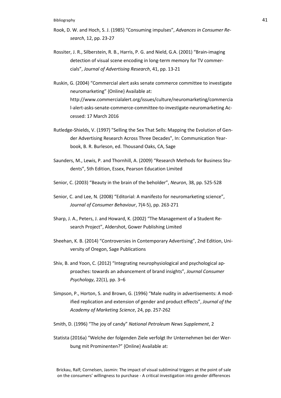- Rook, D. W. and Hoch, S. J. (1985) "Consuming impulses", *Advances in Consumer Research*, 12, pp. 23-27
- Rossiter, J. R., Silberstein, R. B., Harris, P. G. and Nield, G.A. (2001) "Brain-imaging detection of visual scene encoding in long-term memory for TV commercials", *Journal of Advertising Research*, 41, pp. 13-21
- Ruskin, G. (2004) "Commercial alert asks senate commerce committee to investigate neuromarketing" {Online} Available at: http://www.commercialalert.org/issues/culture/neuromarketing/commercia l-alert-asks-senate-commerce-committee-to-investigate-neuromarketing Accessed: 17 March 2016
- Rutledge-Shields, V. (1997) "Selling the Sex That Sells: Mapping the Evolution of Gender Advertising Research Across Three Decades", In: Communication Yearbook, B. R. Burleson, ed. Thousand Oaks, CA, Sage
- Saunders, M., Lewis, P. and Thornhill, A. (2009) "Research Methods for Business Students", 5th Edition, Essex, Pearson Education Limited
- Senior, C. (2003) "Beauty in the brain of the beholder", *Neuron*, 38, pp. 525-528
- Senior, C. and Lee, N. (2008) "Editorial: A manifesto for neuromarketing science", *Journal of Consumer Behaviour*, 7(4-5), pp. 263-271
- Sharp, J. A., Peters, J. and Howard, K. (2002) "The Management of a Student Research Project", Aldershot, Gower Publishing Limited
- Sheehan, K. B. (2014) "Controversies in Contemporary Advertising", 2nd Edition, University of Oregon, Sage Publications
- Shiv, B. and Yoon, C. (2012) "Integrating neurophysiological and psychological approaches: towards an advancement of brand insights", *Journal Consumer Psychology*, 22(1), pp. 3–6
- Simpson, P., Horton, S. and Brown, G. (1996) "Male nudity in advertisements: A modified replication and extension of gender and product effects", *Journal of the Academy of Marketing Science*, 24, pp. 257-262
- Smith, D. (1996) "The joy of candy" *National Petroleum News Supplement*, 2
- Statista (2016a) "Welche der folgenden Ziele verfolgt Ihr Unternehmen bei der Werbung mit Prominenten?" {Online} Available at:

Brickau, Ralf; Cornelsen, Jasmin: The impact of visual subliminal triggers at the point of sale on the consumers' willingness to purchase - A critical investigation into gender differences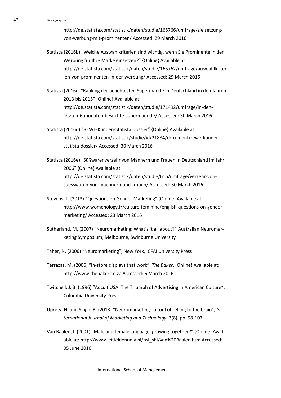http://de.statista.com/statistik/daten/studie/165766/umfrage/zielsetzungvon-werbung-mit-prominenten/ Accessed: 29 March 2016

- Statista (2016b) "Welche Auswahlkriterien sind wichtig, wenn Sie Prominente in der Werbung für Ihre Marke einsetzen?" {Online} Available at: http://de.statista.com/statistik/daten/studie/165762/umfrage/auswahlkriter ien-von-prominenten-in-der-werbung/ Accessed: 29 March 2016
- Statista (2016c) "Ranking der beliebtesten Supermärkte in Deutschland in den Jahren 2013 bis 2015" {Online} Available at: http://de.statista.com/statistik/daten/studie/171492/umfrage/in-denletzten-6-monaten-besuchte-supermaerkte/ Accessed: 30 March 2016
- Statista (2016d) "REWE-Kunden-Statista Dossier" {Online} Available at: http://de.statista.com/statistik/studie/id/21884/dokument/rewe-kundenstatista-dossier/ Accessed: 30 March 2016
- Statista (2016e) "Süßwarenverzehr von Männern und Frauen in Deutschland im Jahr 2006" {Online} Available at: http://de.statista.com/statistik/daten/studie/616/umfrage/verzehr-vonsuesswaren-von-maennern-und-frauen/ Accessed: 30 March 2016
- Stevens, L. (2013) "Questions on Gender Marketing" {Online} Available at: http://www.womenology.fr/culture-feminine/english-questions-on-gendermarketing/ Accessed: 23 March 2016
- Sutherland, M. (2007) "Neuromarketing: What's it all about?" Australian Neuromarketing Symposium, Melbourne, Swinburne University
- Taher, N. (2006) "Neuromarketing", New York, ICFAI University Press
- Terrazas, M. (2006) "In-store displays that work", *The Baker*, {Online} Available at: http://www.thebaker.co.za Accessed: 6 March 2016
- Twitchell, J. B. (1996) "Adcult USA: The Triumph of Advertising in American Culture", Columbia University Press
- Uprety, N. and Singh, B. (2013) "Neuromarketing a tool of selling to the brain", *International Journal of Marketing and Technology*, 3(8), pp. 98-107
- Van Baalen, I. (2001) "Male and female language: growing together?" {Online} Available at: http://www.let.leidenuniv.nl/hsl\_shl/van%20Baalen.htm Accessed: 05 June 2016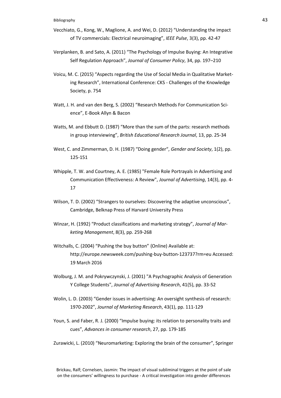- Vecchiato, G., Kong, W., Maglione, A. and Wei, D. (2012) "Understanding the impact of TV commercials: Electrical neuroimaging", *IEEE Pulse*, 3(3), pp. 42-47
- Verplanken, B. and Sato, A. (2011) "The Psychology of Impulse Buying: An Integrative Self Regulation Approach", *Journal of Consumer Policy*, 34, pp. 197–210
- Voicu, M. C. (2015) "Aspects regarding the Use of Social Media in Qualitative Marketing Research", International Conference: CKS - Challenges of the Knowledge Society, p. 754
- Watt, J. H. and van den Berg, S. (2002) "Research Methods For Communication Science", E-Book Allyn & Bacon
- Watts, M. and Ebbutt D. (1987) "More than the sum of the parts: research methods in group interviewing", *British Educational Research Journal*, 13, pp. 25-34
- West, C. and Zimmerman, D. H. (1987) "Doing gender", *Gender and Society*, 1(2), pp. 125-151
- Whipple, T. W. and Courtney, A. E. (1985) "Female Role Portrayals in Advertising and Communication Effectiveness: A Review", *Journal of Advertising*, 14(3), pp. 4- 17
- Wilson, T. D. (2002) "Strangers to ourselves: Discovering the adaptive unconscious", Cambridge, Belknap Press of Harvard University Press
- Winzar, H. (1992) "Product classifications and marketing strategy", *Journal of Marketing Management*, 8(3), pp. 259-268
- Witchalls, C. (2004) "Pushing the buy button" {Online) Available at: http://europe.newsweek.com/pushing-buy-button-123737?rm=eu Accessed: 19 March 2016
- Wolburg, J. M. and Pokrywczynski, J. (2001) "A Psychographic Analysis of Generation Y College Students", *Journal of Advertising Research*, 41(5), pp. 33-52
- Wolin, L. D. (2003) "Gender issues in advertising: An oversight synthesis of research: 1970-2002", *Journal of Marketing Research*, 43(1), pp. 111-129
- Youn, S. and Faber, R. J. (2000) "Impulse buying: its relation to personality traits and cues", *Advances in consumer research*, 27, pp. 179-185
- Zurawicki, L. (2010) "Neuromarketing: Exploring the brain of the consumer", Springer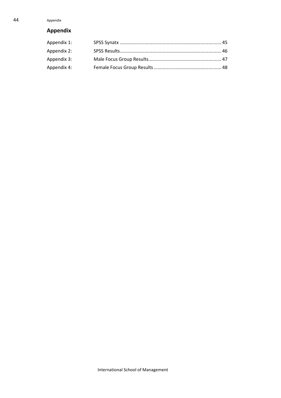# <span id="page-48-0"></span>**Appendix**

| Appendix 1: |  |
|-------------|--|
| Appendix 2: |  |
| Appendix 3: |  |
| Appendix 4: |  |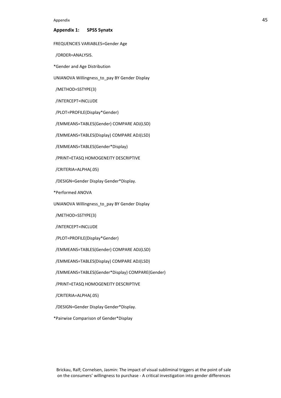Appendix 45

#### <span id="page-49-0"></span>**Appendix 1: SPSS Synatx**

FREQUENCIES VARIABLES=Gender Age

/ORDER=ANALYSIS.

\*Gender and Age Distribution

UNIANOVA Willingness to pay BY Gender Display

/METHOD=SSTYPE(3)

/INTERCEPT=INCLUDE

/PLOT=PROFILE(Display\*Gender)

/EMMEANS=TABLES(Gender) COMPARE ADJ(LSD)

/EMMEANS=TABLES(Display) COMPARE ADJ(LSD)

/EMMEANS=TABLES(Gender\*Display)

/PRINT=ETASQ HOMOGENEITY DESCRIPTIVE

/CRITERIA=ALPHA(.05)

/DESIGN=Gender Display Gender\*Display.

\*Performed ANOVA

UNIANOVA Willingness\_to\_pay BY Gender Display

/METHOD=SSTYPE(3)

/INTERCEPT=INCLUDE

/PLOT=PROFILE(Display\*Gender)

/EMMEANS=TABLES(Gender) COMPARE ADJ(LSD)

/EMMEANS=TABLES(Display) COMPARE ADJ(LSD)

/EMMEANS=TABLES(Gender\*Display) COMPARE(Gender)

/PRINT=ETASQ HOMOGENEITY DESCRIPTIVE

/CRITERIA=ALPHA(.05)

/DESIGN=Gender Display Gender\*Display.

\*Pairwise Comparison of Gender\*Display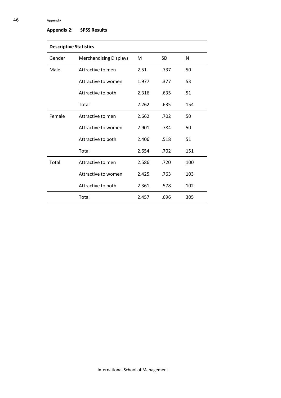# 46 Appendix

# <span id="page-50-0"></span>**Appendix 2: SPSS Results**

| <b>Descriptive Statistics</b> |                               |       |           |     |
|-------------------------------|-------------------------------|-------|-----------|-----|
| Gender                        | <b>Merchandising Displays</b> | M     | <b>SD</b> | N   |
| Male                          | Attractive to men             | 2.51  | .737      | 50  |
|                               | Attractive to women           | 1.977 | .377      | 53  |
|                               | Attractive to both            | 2.316 | .635      | 51  |
|                               | Total                         | 2.262 | .635      | 154 |
| Female                        | Attractive to men             | 2.662 | .702      | 50  |
|                               | Attractive to women           | 2.901 | .784      | 50  |
|                               | Attractive to both            | 2.406 | .518      | 51  |
|                               | Total                         | 2.654 | .702      | 151 |
| Total                         | Attractive to men             | 2.586 | .720      | 100 |
|                               | Attractive to women           | 2.425 | .763      | 103 |
|                               | Attractive to both            | 2.361 | .578      | 102 |
|                               | Total                         | 2.457 | .696      | 305 |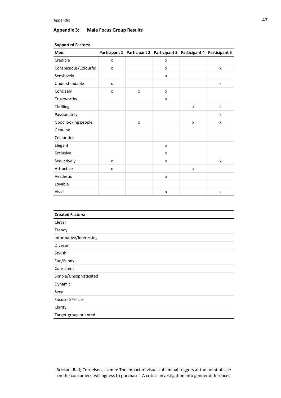# <span id="page-51-0"></span>**Appendix 3: Male Focus Group Results**

| Men:                    |   | Participant 1 Participant 2 Participant 3 Participant 4 Participant 5 |   |                    |                    |
|-------------------------|---|-----------------------------------------------------------------------|---|--------------------|--------------------|
| Credible                | x |                                                                       | x |                    |                    |
| Conspicuous/Colourful   | X |                                                                       | X |                    | $\pmb{\mathsf{x}}$ |
| Sensitively             |   |                                                                       | x |                    |                    |
| Understandable          | x |                                                                       |   |                    | X                  |
| Concisely               | X | $\pmb{\mathsf{x}}$                                                    | x |                    |                    |
| Trustworthy             |   |                                                                       | X |                    |                    |
| Thrilling               |   |                                                                       |   | $\pmb{\mathsf{x}}$ | X                  |
| Passionately            |   |                                                                       |   |                    | X                  |
| Good looking people     |   | $\pmb{\mathsf{x}}$                                                    |   | $\pmb{\mathsf{x}}$ | X                  |
| Genuine                 |   |                                                                       |   |                    |                    |
| Celebrities             |   |                                                                       |   |                    |                    |
| Elegant                 |   |                                                                       | X |                    |                    |
| Exclusive               |   |                                                                       | X |                    |                    |
| Seductively             | X |                                                                       | x |                    | X                  |
| Attractive              | x |                                                                       |   | x                  |                    |
| Aesthetic               |   |                                                                       | X |                    |                    |
| Lovable                 |   |                                                                       |   |                    |                    |
| Vivid                   |   |                                                                       | x |                    | X                  |
|                         |   |                                                                       |   |                    |                    |
| <b>Created Factors:</b> |   |                                                                       |   |                    |                    |
| Clever                  |   |                                                                       |   |                    |                    |
|                         |   |                                                                       |   |                    |                    |

#### **Supported Factors:**

| <b>Created Factors:</b> |
|-------------------------|
| Clever                  |
| Trendy                  |
| Informative/Interesting |
| <b>Diverse</b>          |
| Stylish                 |
| Fun/Funny               |
| Consistent              |
| Simple/Unsophisticated  |
| Dynamic                 |
| Sexy                    |
| Focused/Precise         |
| Clarity                 |
| Target-group oriented   |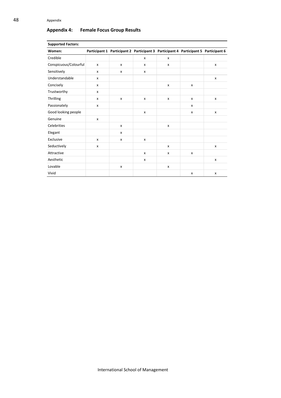# <span id="page-52-0"></span>**Appendix 4: Female Focus Group Results**

| <b>Supported Factors:</b> |              |   |   |   |   |                                                                                     |
|---------------------------|--------------|---|---|---|---|-------------------------------------------------------------------------------------|
| Women:                    |              |   |   |   |   | Participant 1 Participant 2 Participant 3 Participant 4 Participant 5 Participant 6 |
| Credible                  |              |   | x | x |   |                                                                                     |
| Conspicuous/Colourful     | $\mathsf{x}$ | X | X | x |   | $\mathsf{x}$                                                                        |
| Sensitively               | x            | x | x |   |   |                                                                                     |
| Understandable            | X            |   |   |   |   | x                                                                                   |
| Concisely                 | X            |   |   | x | X |                                                                                     |
| Trustworthy               | X            |   |   |   |   |                                                                                     |
| <b>Thrilling</b>          | x            | X | X | x | x | x                                                                                   |
| Passionately              | x            |   |   |   | x |                                                                                     |
| Good looking people       |              |   | X |   | x | $\mathsf{x}$                                                                        |
| Genuine                   | $\mathsf{x}$ |   |   |   |   |                                                                                     |
| Celebrities               |              | X |   | x |   |                                                                                     |
| Elegant                   |              | x |   |   |   |                                                                                     |
| Exclusive                 | X            | x | X |   |   |                                                                                     |
| Seductively               | x            |   |   | x |   | x                                                                                   |
| Attractive                |              |   | x | x | x |                                                                                     |
| Aesthetic                 |              |   | X |   |   | $\mathsf{x}$                                                                        |
| Lovable                   |              | x |   | x |   |                                                                                     |
| Vivid                     |              |   |   |   | x | x                                                                                   |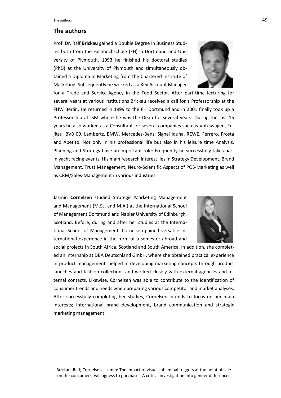# **The authors**

Prof. Dr. Ralf **Brickau** gained a Double Degree in Business Studies both from the Fachhochschule (FH) in Dortmund and University of Plymouth. 1993 he finished his doctoral studies (PhD) at the University of Plymouth and simultaneously obtained a Diploma in Marketing from the Chartered Institute of Marketing. Subsequently he worked as a Key Account Manager



for a Trade and Service-Agency in the Food Sector. After part-time lecturing for several years at various institutions Brickau received a call for a Professorship at the FHW Berlin. He returned in 1999 to the FH Dortmund and in 2001 finally took up a Professorship at ISM where he was the Dean for several years. During the last 15 years he also worked as a Consultant for several companies such as Volkswagen, Fujitsu, BVB 09, Lambertz, BMW, Mercedes-Benz, Signal Iduna, REWE, Ferrero, Frosta and Apetito. Not only in his professional life but also in his leisure time Analysis, Planning and Strategy have an important role: Frequently he successfully takes part in yacht racing events. His main research interest lies in Strategy Development, Brand Management, Trust Management, Neuro-Scientific Aspects of POS-Marketing as well as CRM/Sales-Management in various industries.

Jasmin **Cornelsen** studied Strategic Marketing Management and Management (M.Sc. and M.A.) at the International School of Management Dortmund and Napier University of Edinburgh, Scotland. Before, during and after her studies at the International School of Management, Cornelsen gained versatile international experience in the form of a semester abroad and



social projects in South Africa, Scotland and South America. In addition, she completed an internship at DBA Deutschland GmbH, where she obtained practical experience in product management, helped in developing marketing concepts through product launches and fashion collections and worked closely with external agencies and internal contacts. Likewise, Cornelsen was able to contribute to the identification of consumer trends and needs when preparing various competitor and market analyses. After successfully completing her studies, Cornelsen intends to focus on her main interests; international brand development, brand communication and strategic marketing management.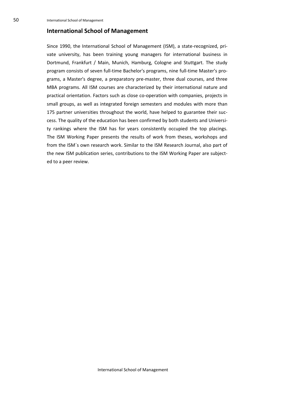# **International School of Management**

Since 1990, the International School of Management (ISM), a state-recognized, private university, has been training young managers for international business in Dortmund, Frankfurt / Main, Munich, Hamburg, Cologne and Stuttgart. The study program consists of seven full-time Bachelor's programs, nine full-time Master's programs, a Master's degree, a preparatory pre-master, three dual courses, and three MBA programs. All ISM courses are characterized by their international nature and practical orientation. Factors such as close co-operation with companies, projects in small groups, as well as integrated foreign semesters and modules with more than 175 partner universities throughout the world, have helped to guarantee their success. The quality of the education has been confirmed by both students and University rankings where the ISM has for years consistently occupied the top placings. The ISM Working Paper presents the results of work from theses, workshops and from the ISM´s own research work. Similar to the ISM Research Journal, also part of the new ISM publication series, contributions to the ISM Working Paper are subjected to a peer review.